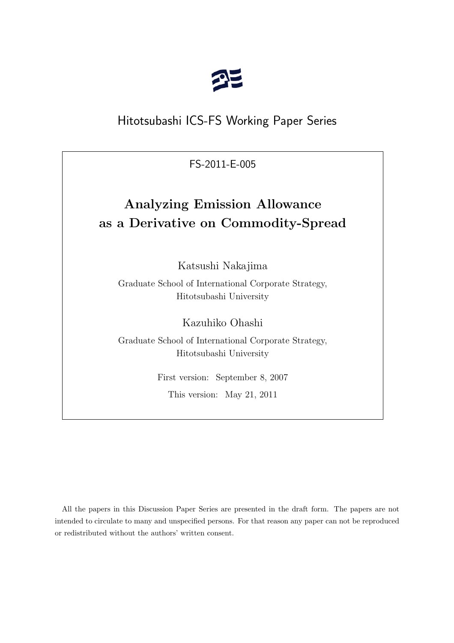

# Hitotsubashi ICS-FS Working Paper Series

FS-2011-E-005

# **Analyzing Emission Allowance as a Derivative on Commodity-Spread**

Katsushi Nakajima

Graduate School of International Corporate Strategy, Hitotsubashi University

Kazuhiko Ohashi

Graduate School of International Corporate Strategy, Hitotsubashi University

First version: September 8, 2007

This version: May 21, 2011

All the papers in this Discussion Paper Series are presented in the draft form. The papers are not intended to circulate to many and unspecified persons. For that reason any paper can not be reproduced or redistributed without the authors' written consent.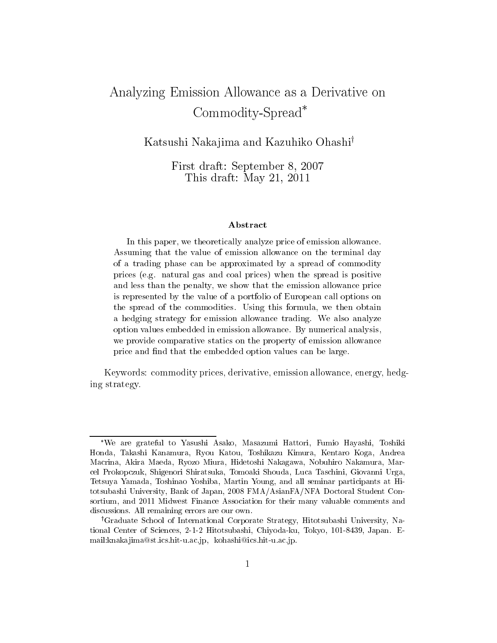# Analyzing Emission Allowance as a Derivative on Commodity-Spread\*

Katsushi Nakajima and Kazuhiko Ohashi<sup>†</sup>

First draft: September 8, 2007 This draft: May 21, 2011

### Abstract

In this paper, we theoretically analyze price of emission allowance. Assuming that the value of emission allowance on the terminal day of a trading phase can be approximated by a spread of commodity prices (e.g. natural gas and coal prices) when the spread is positive and less than the penalty, we show that the emission allowance price is represented by the value of a portfolio of European call options on the spread of the commodities. Using this formula, we then obtain a hedging strategy for emission allowance trading. We also analyze option values embedded in emission allowance. By numerical analysis, we provide comparative statics on the property of emission allowance price and find that the embedded option values can be large.

Keywords: commodity prices, derivative, emission allowance, energy, hedging strategy.

<sup>\*</sup>We are grateful to Yasushi Asako, Masazumi Hattori, Fumio Hayashi, Toshiki Honda, Takashi Kanamura, Ryou Katou, Toshikazu Kimura, Kentaro Koga, Andrea Macrina, Akira Maeda, Ryozo Miura, Hidetoshi Nakagawa, Nobuhiro Nakamura, Marcel Prokopczuk, Shigenori Shiratsuka, Tomoaki Shouda, Luca Taschini, Giovanni Urga, Tetsuya Yamada, Toshinao Yoshiba, Martin Young, and all seminar participants at Hitotsubashi University, Bank of Japan, 2008 FMA/AsianFA/NFA Doctoral Student Consortium, and 2011 Midwest Finance Association for their many valuable comments and discussions. All remaining errors are our own.

<sup>&</sup>lt;sup>†</sup>Graduate School of International Corporate Strategy, Hitotsubashi University, National Center of Sciences, 2-1-2 Hitotsubashi, Chiyoda-ku, Tokyo, 101-8439, Japan. Email:knakajima@st.ics.hit-u.ac.jp, kohashi@ics.hit-u.ac.jp.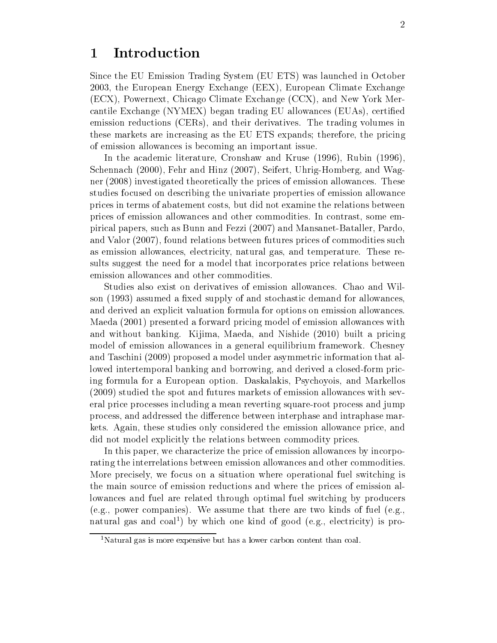#### Introduction  $\mathbf 1$

Since the EU Emission Trading System (EU ETS) was launched in October 2003, the European Energy Exchange (EEX), European Climate Exchange (ECX), Powernext, Chicago Climate Exchange (CCX), and New York Mercantile Exchange (NYMEX) began trading EU allowances (EUAs), certified emission reductions (CERs), and their derivatives. The trading volumes in these markets are increasing as the EU ETS expands; therefore, the pricing of emission allowances is becoming an important issue.

In the academic literature, Cronshaw and Kruse (1996), Rubin (1996), Schennach (2000), Fehr and Hinz (2007), Seifert, Uhrig-Homberg, and Wagner (2008) investigated theoretically the prices of emission allowances. These studies focused on describing the univariate properties of emission allowance prices in terms of abatement costs, but did not examine the relations between prices of emission allowances and other commodities. In contrast, some empirical papers, such as Bunn and Fezzi (2007) and Mansanet-Bataller, Pardo. and Valor (2007), found relations between futures prices of commodities such as emission allowances, electricity, natural gas, and temperature. These results suggest the need for a model that incorporates price relations between emission allowances and other commodities.

Studies also exist on derivatives of emission allowances. Chao and Wilson (1993) assumed a fixed supply of and stochastic demand for allowances, and derived an explicit valuation formula for options on emission allowances. Maeda (2001) presented a forward pricing model of emission allowances with and without banking. Kijima, Maeda, and Nishide (2010) built a pricing model of emission allowances in a general equilibrium framework. Chesney and Taschini (2009) proposed a model under asymmetric information that allowed intertemporal banking and borrowing, and derived a closed-form pricing formula for a European option. Daskalakis, Psychoyois, and Markellos (2009) studied the spot and futures markets of emission allowances with several price processes including a mean reverting square-root process and jump process, and addressed the difference between interphase and intraphase markets. Again, these studies only considered the emission allowance price, and did not model explicitly the relations between commodity prices.

In this paper, we characterize the price of emission allowances by incorporating the interrelations between emission allowances and other commodities. More precisely, we focus on a situation where operational fuel switching is the main source of emission reductions and where the prices of emission allowances and fuel are related through optimal fuel switching by producers (e.g., power companies). We assume that there are two kinds of fuel (e.g. natural gas and coal<sup>1</sup>) by which one kind of good (e.g., electricity) is pro-

<sup>&</sup>lt;sup>1</sup>Natural gas is more expensive but has a lower carbon content than coal.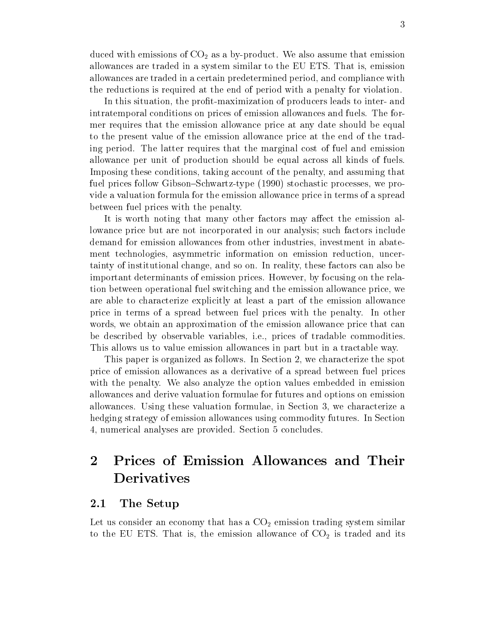duced with emissions of  $CO_2$  as a by-product. We also assume that emission allowances are traded in a system similar to the EU ETS. That is, emission allowances are traded in a certain predetermined period, and compliance with the reductions is required at the end of period with a penalty for violation.

In this situation, the profit-maximization of producers leads to inter- and intratemporal conditions on prices of emission allowances and fuels. The former requires that the emission allowance price at any date should be equal to the present value of the emission allowance price at the end of the trading period. The latter requires that the marginal cost of fuel and emission allowance per unit of production should be equal across all kinds of fuels. Imposing these conditions, taking account of the penalty, and assuming that fuel prices follow Gibson–Schwartz-type (1990) stochastic processes, we provide a valuation formula for the emission allowance price in terms of a spread between fuel prices with the penalty.

It is worth noting that many other factors may affect the emission allowance price but are not incorporated in our analysis; such factors include demand for emission allowances from other industries, investment in abatement technologies, asymmetric information on emission reduction, uncertainty of institutional change, and so on. In reality, these factors can also be important determinants of emission prices. However, by focusing on the relation between operational fuel switching and the emission allowance price, we are able to characterize explicitly at least a part of the emission allowance price in terms of a spread between fuel prices with the penalty. In other words, we obtain an approximation of the emission allowance price that can be described by observable variables, i.e., prices of tradable commodities. This allows us to value emission allowances in part but in a tractable way.

This paper is organized as follows. In Section 2, we characterize the spot price of emission allowances as a derivative of a spread between fuel prices with the penalty. We also analyze the option values embedded in emission allowances and derive valuation formulae for futures and options on emission allowances. Using these valuation formulae, in Section 3, we characterize a hedging strategy of emission allowances using commodity futures. In Section 4, numerical analyses are provided. Section 5 concludes.

# $\overline{2}$ Prices of Emission Allowances and Their **Derivatives**

#### $2.1\,$ The Setup

Let us consider an economy that has a  $CO<sub>2</sub>$  emission trading system similar to the EU ETS. That is, the emission allowance of  $CO<sub>2</sub>$  is traded and its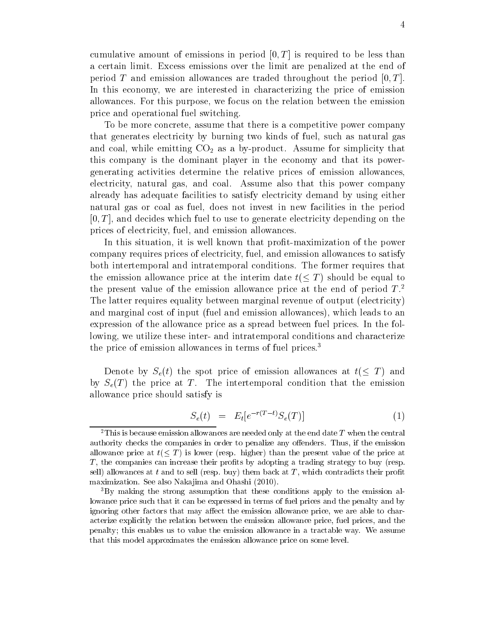cumulative amount of emissions in period  $[0, T]$  is required to be less than a certain limit. Excess emissions over the limit are penalized at the end of period T and emission allowances are traded throughout the period  $[0, T]$ . In this economy, we are interested in characterizing the price of emission allowances. For this purpose, we focus on the relation between the emission price and operational fuel switching.

To be more concrete, assume that there is a competitive power company that generates electricity by burning two kinds of fuel, such as natural gas and coal, while emitting  $CO<sub>2</sub>$  as a by-product. Assume for simplicity that this company is the dominant player in the economy and that its powergenerating activities determine the relative prices of emission allowances, electricity, natural gas, and coal. Assume also that this power company already has adequate facilities to satisfy electricity demand by using either natural gas or coal as fuel, does not invest in new facilities in the period  $[0, T]$ , and decides which fuel to use to generate electricity depending on the prices of electricity, fuel, and emission allowances.

In this situation, it is well known that profit-maximization of the power company requires prices of electricity, fuel, and emission allowances to satisfy both intertemporal and intratemporal conditions. The former requires that the emission allowance price at the interim date  $t \leq T$  should be equal to the present value of the emission allowance price at the end of period  $T<sup>2</sup>$ . The latter requires equality between marginal revenue of output (electricity) and marginal cost of input (fuel and emission allowances), which leads to an expression of the allowance price as a spread between fuel prices. In the following, we utilize these inter- and intratemporal conditions and characterize the price of emission allowances in terms of fuel prices.<sup>3</sup>

Denote by  $S_e(t)$  the spot price of emission allowances at  $t(\leq T)$  and by  $S_e(T)$  the price at T. The intertemporal condition that the emission allowance price should satisfy is

$$
S_e(t) = E_t[e^{-r(T-t)}S_e(T)] \tag{1}
$$

<sup>&</sup>lt;sup>2</sup>This is because emission allowances are needed only at the end date T when the central authority checks the companies in order to penalize any offenders. Thus, if the emission allowance price at  $t \leq T$  is lower (resp. higher) than the present value of the price at  $T$ , the companies can increase their profits by adopting a trading strategy to buy (resp. sell) allowances at  $t$  and to sell (resp. buy) them back at  $T$ , which contradicts their profit maximization. See also Nakajima and Ohashi (2010).

<sup>&</sup>lt;sup>3</sup>By making the strong assumption that these conditions apply to the emission allowance price such that it can be expressed in terms of fuel prices and the penalty and by ignoring other factors that may affect the emission allowance price, we are able to characterize explicitly the relation between the emission allowance price, fuel prices, and the penalty; this enables us to value the emission allowance in a tractable way. We assume that this model approximates the emission allowance price on some level.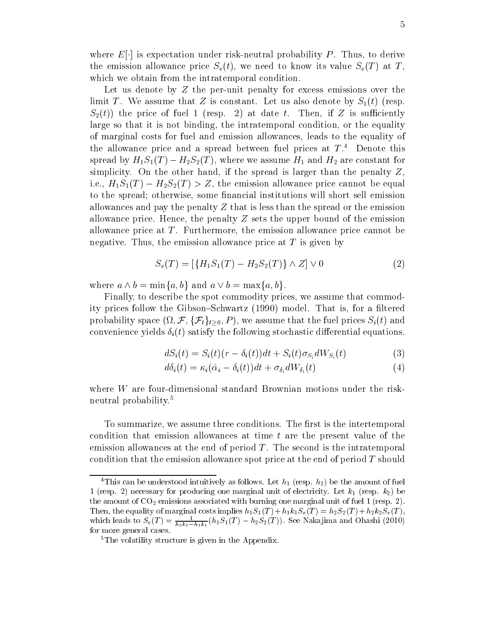where  $E[\cdot]$  is expectation under risk-neutral probability P. Thus, to derive the emission allowance price  $S_e(t)$ , we need to know its value  $S_e(T)$  at T, which we obtain from the intratemporal condition.

Let us denote by  $Z$  the per-unit penalty for excess emissions over the limit T. We assume that Z is constant. Let us also denote by  $S_1(t)$  (resp.  $S_2(t)$  the price of fuel 1 (resp. 2) at date t. Then, if Z is sufficiently large so that it is not binding, the intratemporal condition, or the equality of marginal costs for fuel and emission allowances, leads to the equality of the allowance price and a spread between fuel prices at  $T^4$ . Denote this spread by  $H_1S_1(T) - H_2S_2(T)$ , where we assume  $H_1$  and  $H_2$  are constant for simplicity. On the other hand, if the spread is larger than the penalty  $Z$ . i.e.,  $H_1S_1(T) - H_2S_2(T) > Z$ , the emission allowance price cannot be equal to the spread; otherwise, some financial institutions will short sell emission allowances and pay the penalty  $Z$  that is less than the spread or the emission allowance price. Hence, the penalty  $Z$  sets the upper bound of the emission allowance price at  $T$ . Furthermore, the emission allowance price cannot be negative. Thus, the emission allowance price at  $T$  is given by

$$
S_e(T) = [\{H_1 S_1(T) - H_2 S_2(T)\} \wedge Z] \vee 0 \tag{2}
$$

where  $a \wedge b = \min\{a, b\}$  and  $a \vee b = \max\{a, b\}$ .

Finally, to describe the spot commodity prices, we assume that commodity prices follow the Gibson-Schwartz (1990) model. That is, for a filtered probability space  $(\Omega, \mathcal{F}, \{\mathcal{F}_t\}_{t>0}, P)$ , we assume that the fuel prices  $S_i(t)$  and convenience yields  $\delta_i(t)$  satisfy the following stochastic differential equations

$$
dS_i(t) = S_i(t)(r - \delta_i(t))dt + S_i(t)\sigma_{S_i}dW_{S_i}(t)
$$
\n(3)

$$
d\delta_i(t) = \kappa_i(\hat{\alpha}_i - \delta_i(t))dt + \sigma_{\delta_i}dW_{\delta_i}(t)
$$
\n(4)

where W are four-dimensional standard Brownian motions under the riskneutral probability.<sup>5</sup>

To summarize, we assume three conditions. The first is the intertemporal condition that emission allowances at time t are the present value of the emission allowances at the end of period  $T$ . The second is the intratemporal condition that the emission allowance spot price at the end of period  $T$  should

<sup>&</sup>lt;sup>4</sup>This can be understood intuitively as follows. Let  $h_1$  (resp.  $h_2$ ) be the amount of fuel 1 (resp. 2) necessary for producing one marginal unit of electricity. Let  $k_1$  (resp.  $k_2$ ) be the amount of  $CO_2$  emissions associated with burning one marginal unit of fuel 1 (resp. 2). Then, the equality of marginal costs implies  $h_1S_1(T) + h_1k_1S_e(T) = h_2S_2(T) + h_2k_2S_e(T)$ , which leads to  $S_e(T) = \frac{1}{h_2 k_2 - h_1 k_1} (h_1 S_1(T) - h_2 S_2(T))$ . See Nakajima and Ohashi (2010) for more general cases.

 ${}^{5}$ The volatility structure is given in the Appendix.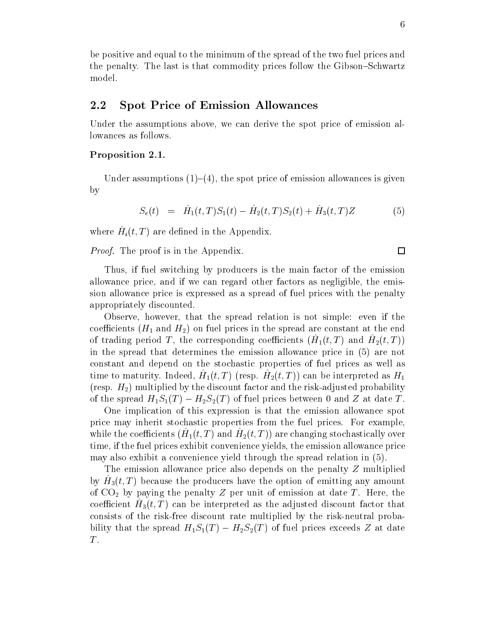be positive and equal to the minimum of the spread of the two fuel prices and the penalty. The last is that commodity prices follow the Gibson–Schwartz model.

#### $\phantom{1}2.2$ **Spot Price of Emission Allowances**

Under the assumptions above, we can derive the spot price of emission allowances as follows.

## Proposition 2.1.

Under assumptions  $(1)$ – $(4)$ , the spot price of emission allowances is given  $\mathbf{b}$ 

$$
S_e(t) = \hat{H}_1(t,T)S_1(t) - \hat{H}_2(t,T)S_2(t) + \hat{H}_3(t,T)Z \tag{5}
$$

where  $\hat{H}_i(t,T)$  are defined in the Appendix.

*Proof.* The proof is in the Appendix.

Thus, if fuel switching by producers is the main factor of the emission allowance price, and if we can regard other factors as negligible, the emission allowance price is expressed as a spread of fuel prices with the penalty appropriately discounted.

Observe, however, that the spread relation is not simple: even if the coefficients  $(H_1 \text{ and } H_2)$  on fuel prices in the spread are constant at the end of trading period T, the corresponding coefficients  $(H_1(t,T)$  and  $H_2(t,T)$ in the spread that determines the emission allowance price in (5) are not constant and depend on the stochastic properties of fuel prices as well as time to maturity. Indeed,  $H_1(t,T)$  (resp.  $H_2(t,T)$ ) can be interpreted as  $H_1$ (resp.  $H_2$ ) multiplied by the discount factor and the risk-adjusted probability of the spread  $H_1S_1(T) - H_2S_2(T)$  of fuel prices between 0 and Z at date T.

One implication of this expression is that the emission allowance spot price may inherit stochastic properties from the fuel prices. For example, while the coefficients  $(H_1(t,T)$  and  $H_2(t,T)$  are changing stochastically over time, if the fuel prices exhibit convenience yields, the emission allowance price may also exhibit a convenience yield through the spread relation in (5).

The emission allowance price also depends on the penalty  $Z$  multiplied by  $H_3(t,T)$  because the producers have the option of emitting any amount of  $CO<sub>2</sub>$  by paying the penalty Z per unit of emission at date T. Here, the coefficient  $H_3(t,T)$  can be interpreted as the adjusted discount factor that consists of the risk-free discount rate multiplied by the risk-neutral probability that the spread  $H_1S_1(T) - H_2S_2(T)$  of fuel prices exceeds Z at date  $T$ .

 $\Box$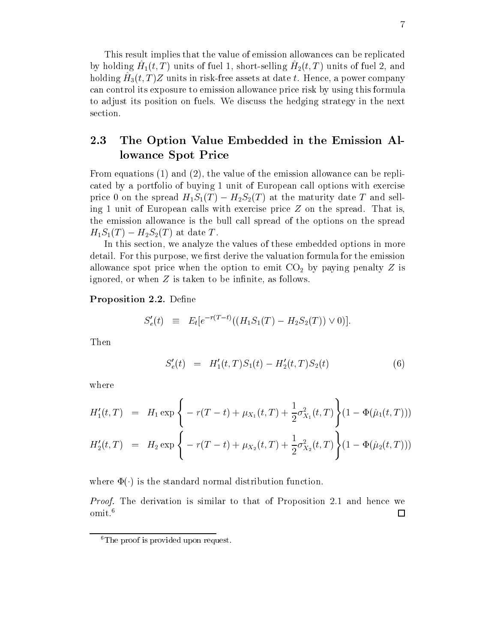This result implies that the value of emission allowances can be replicated by holding  $H_1(t, T)$  units of fuel 1, short-selling  $H_2(t, T)$  units of fuel 2, and holding  $H_3(t, T)Z$  units in risk-free assets at date t. Hence, a power company can control its exposure to emission allowance price risk by using this formula to adjust its position on fuels. We discuss the hedging strategy in the next section.

### $2.3$ The Option Value Embedded in the Emission Allowance Spot Price

From equations  $(1)$  and  $(2)$ , the value of the emission allowance can be replicated by a portfolio of buying 1 unit of European call options with exercise price 0 on the spread  $H_1S_1(T) - H_2S_2(T)$  at the maturity date T and selling 1 unit of European calls with exercise price  $Z$  on the spread. That is, the emission allowance is the bull call spread of the options on the spread  $H_1S_1(T) - H_2S_2(T)$  at date T.

In this section, we analyze the values of these embedded options in more detail. For this purpose, we first derive the valuation formula for the emission allowance spot price when the option to emit  $CO<sub>2</sub>$  by paying penalty Z is ignored, or when  $Z$  is taken to be infinite, as follows.

## **Proposition 2.2.** Define

$$
S'_e(t) \equiv E_t[e^{-r(T-t)}((H_1S_1(T) - H_2S_2(T)) \vee 0)]
$$

Then

$$
S'_e(t) = H'_1(t, T)S_1(t) - H'_2(t, T)S_2(t)
$$
\n(6)

where

$$
H'_1(t,T) = H_1 \exp \left\{ -r(T-t) + \mu_{X_1}(t,T) + \frac{1}{2} \sigma_{X_1}^2(t,T) \right\} (1 - \Phi(\hat{\mu}_1(t,T)))
$$
  

$$
H'_2(t,T) = H_2 \exp \left\{ -r(T-t) + \mu_{X_2}(t,T) + \frac{1}{2} \sigma_{X_2}^2(t,T) \right\} (1 - \Phi(\hat{\mu}_2(t,T)))
$$

where  $\Phi(\cdot)$  is the standard normal distribution function.

*Proof.* The derivation is similar to that of Proposition 2.1 and hence we omit.<sup>6</sup>  $\Box$ 

 ${}^{6}$ The proof is provided upon request.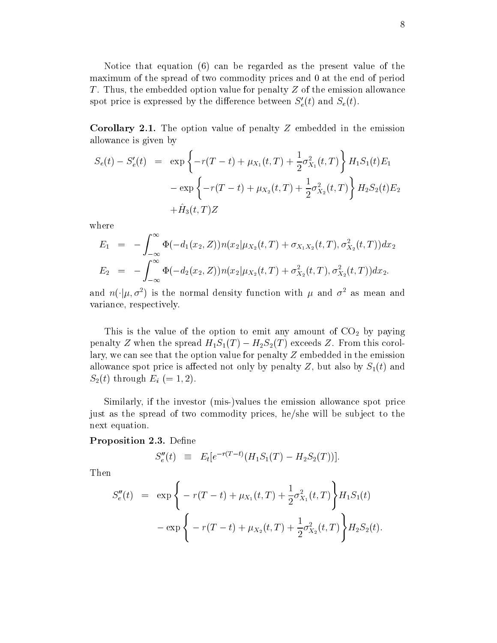Notice that equation (6) can be regarded as the present value of the maximum of the spread of two commodity prices and 0 at the end of period T. Thus, the embedded option value for penalty Z of the emission allowance spot price is expressed by the difference between  $S'_e(t)$  and  $S_e(t)$ .

**Corollary 2.1.** The option value of penalty  $Z$  embedded in the emission allowance is given by

$$
S_e(t) - S'_e(t) = \exp \left\{-r(T - t) + \mu_{X_1}(t, T) + \frac{1}{2}\sigma_{X_1}^2(t, T)\right\} H_1 S_1(t) E_1
$$
  

$$
-\exp \left\{-r(T - t) + \mu_{X_2}(t, T) + \frac{1}{2}\sigma_{X_2}^2(t, T)\right\} H_2 S_2(t) E_2
$$
  

$$
+\hat{H}_3(t, T)Z
$$

where

$$
E_1 = -\int_{-\infty}^{\infty} \Phi(-d_1(x_2, Z)) n(x_2 | \mu_{X_2}(t, T) + \sigma_{X_1 X_2}(t, T), \sigma_{X_2}^2(t, T)) dx_2
$$
  
\n
$$
E_2 = -\int_{-\infty}^{\infty} \Phi(-d_2(x_2, Z)) n(x_2 | \mu_{X_2}(t, T) + \sigma_{X_2}^2(t, T), \sigma_{X_2}^2(t, T)) dx_2.
$$

and  $n(\cdot|\mu, \sigma^2)$  is the normal density function with  $\mu$  and  $\sigma^2$  as mean and variance, respectively.

This is the value of the option to emit any amount of  $CO<sub>2</sub>$  by paying penalty Z when the spread  $H_1S_1(T) - H_2S_2(T)$  exceeds Z. From this corollary, we can see that the option value for penalty  $Z$  embedded in the emission allowance spot price is affected not only by penalty Z, but also by  $S_1(t)$  and  $S_2(t)$  through  $E_i (= 1, 2)$ .

Similarly, if the investor (mis-)values the emission allowance spot price just as the spread of two commodity prices, he/she will be subject to the next equation.

## **Proposition 2.3.** Define

$$
S_e''(t) \equiv E_t[e^{-r(T-t)}(H_1S_1(T) - H_2S_2(T))].
$$

Then

$$
S_e''(t) = \exp \left\{ -r(T-t) + \mu_{X_1}(t,T) + \frac{1}{2}\sigma_{X_1}^2(t,T) \right\} H_1 S_1(t)
$$

$$
-\exp \left\{ -r(T-t) + \mu_{X_2}(t,T) + \frac{1}{2}\sigma_{X_2}^2(t,T) \right\} H_2 S_2(t).
$$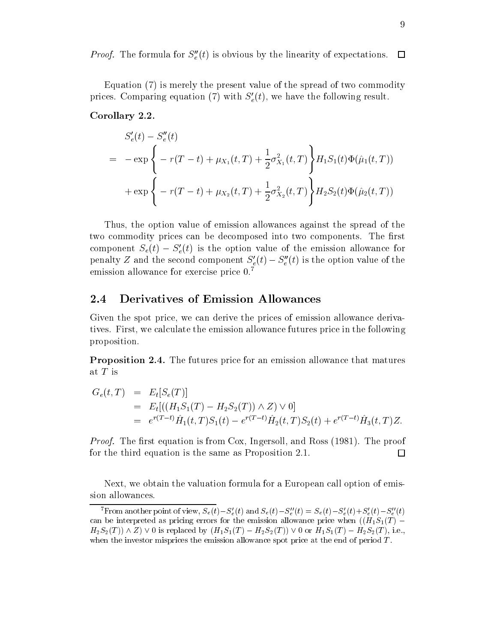*Proof.* The formula for  $S_e''(t)$  is obvious by the linearity of expectations.  $\Box$ 

Equation (7) is merely the present value of the spread of two commodity prices. Comparing equation (7) with  $S'_e(t)$ , we have the following result.

## Corollary 2.2.

$$
S'_{e}(t) - S''_{e}(t)
$$
  
=  $-\exp \left\{-r(T-t) + \mu_{X_{1}}(t,T) + \frac{1}{2}\sigma_{X_{1}}^{2}(t,T)\right\}H_{1}S_{1}(t)\Phi(\hat{\mu}_{1}(t,T))$   
+  $\exp \left\{-r(T-t) + \mu_{X_{2}}(t,T) + \frac{1}{2}\sigma_{X_{2}}^{2}(t,T)\right\}H_{2}S_{2}(t)\Phi(\hat{\mu}_{2}(t,T))$ 

Thus, the option value of emission allowances against the spread of the two commodity prices can be decomposed into two components. The first component  $S_e(t) - S'_e(t)$  is the option value of the emission allowance for penalty Z and the second component  $S'_{e}(t) - S''_{e}(t)$  is the option value of the emission allowance for exercise price 0.7

#### 2.4 **Derivatives of Emission Allowances**

Given the spot price, we can derive the prices of emission allowance derivatives. First, we calculate the emission allowance futures price in the following proposition.

**Proposition 2.4.** The futures price for an emission allowance that matures at  $T$  is

$$
G_e(t,T) = E_t[S_e(T)]
$$
  
= 
$$
E_t[((H_1S_1(T) - H_2S_2(T)) \wedge Z) \vee 0]
$$
  
= 
$$
e^{r(T-t)}\hat{H}_1(t,T)S_1(t) - e^{r(T-t)}\hat{H}_2(t,T)S_2(t) + e^{r(T-t)}\hat{H}_3(t,T)Z.
$$

*Proof.* The first equation is from Cox, Ingersoll, and Ross (1981). The proof for the third equation is the same as Proposition 2.1. □

Next, we obtain the valuation formula for a European call option of emission allowances.

<sup>&</sup>lt;sup>7</sup>From another point of view,  $S_e(t) - S_e'(t)$  and  $S_e(t) - S_e''(t) = S_e(t) - S_e'(t) + S_e'(t) - S_e''(t)$ can be interpreted as pricing errors for the emission allowance price when  $((H_1S_1(T) H_2S_2(T) \wedge Z \vee 0$  is replaced by  $(H_1S_1(T) - H_2S_2(T)) \vee 0$  or  $H_1S_1(T) - H_2S_2(T)$ , i.e., when the investor misprices the emission allowance spot price at the end of period  $T$ .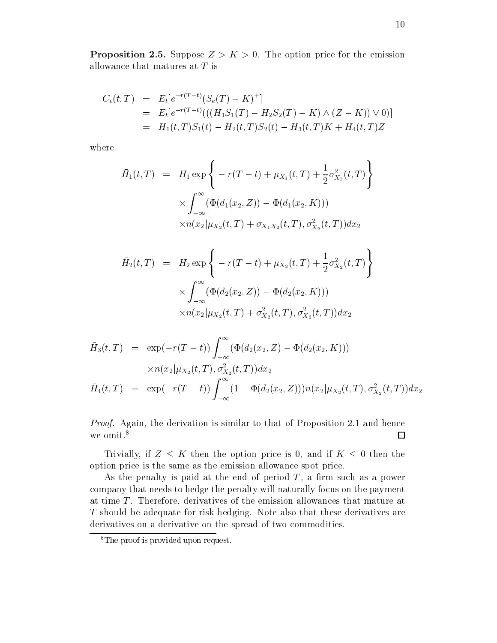**Proposition 2.5.** Suppose  $Z > K > 0$ . The option price for the emission allowance that matures at  $T$  is

$$
C_e(t,T) = E_t[e^{-r(T-t)}(S_e(T) - K)^+]
$$
  
= 
$$
E_t[e^{-r(T-t)}(((H_1S_1(T) - H_2S_2(T) - K) \wedge (Z - K)) \vee 0)]
$$
  
= 
$$
\bar{H}_1(t,T)S_1(t) - \bar{H}_2(t,T)S_2(t) - \bar{H}_3(t,T)K + \bar{H}_4(t,T)Z
$$

where

$$
\bar{H}_1(t,T) = H_1 \exp \left\{ -r(T-t) + \mu_{X_1}(t,T) + \frac{1}{2} \sigma_{X_1}^2(t,T) \right\} \times \int_{-\infty}^{\infty} (\Phi(d_1(x_2, Z)) - \Phi(d_1(x_2, K))) \times n(x_2 | \mu_{X_2}(t,T) + \sigma_{X_1 X_2}(t,T), \sigma_{X_2}^2(t,T)) dx_2
$$

$$
\bar{H}_2(t,T) = H_2 \exp \left\{ -r(T-t) + \mu_{X_2}(t,T) + \frac{1}{2} \sigma_{X_2}^2(t,T) \right\}
$$

$$
\times \int_{-\infty}^{\infty} (\Phi(d_2(x_2, Z)) - \Phi(d_2(x_2, K)))
$$

$$
\times n(x_2 | \mu_{X_2}(t,T) + \sigma_{X_2}^2(t,T), \sigma_{X_2}^2(t,T)) dx_2
$$

$$
\bar{H}_3(t,T) = \exp(-r(T-t)) \int_{-\infty}^{\infty} (\Phi(d_2(x_2, Z) - \Phi(d_2(x_2, K)))
$$
\n
$$
\times n(x_2|\mu_{X_2}(t,T), \sigma_{X_2}^2(t,T)) dx_2
$$
\n
$$
\bar{H}_4(t,T) = \exp(-r(T-t)) \int_{-\infty}^{\infty} (1 - \Phi(d_2(x_2, Z))) n(x_2|\mu_{X_2}(t,T), \sigma_{X_2}^2(t,T)) dx_2
$$

*Proof.* Again, the derivation is similar to that of Proposition 2.1 and hence we omit.<sup>8</sup>  $\Box$ 

Trivially, if  $Z \leq K$  then the option price is 0, and if  $K \leq 0$  then the option price is the same as the emission allowance spot price.

As the penalty is paid at the end of period  $T$ , a firm such as a power company that needs to hedge the penalty will naturally focus on the payment at time  $T$ . Therefore, derivatives of the emission allowances that mature at T should be adequate for risk hedging. Note also that these derivatives are derivatives on a derivative on the spread of two commodities.

 $\overline{\text{B}}$ <sup>8</sup>The proof is provided upon request.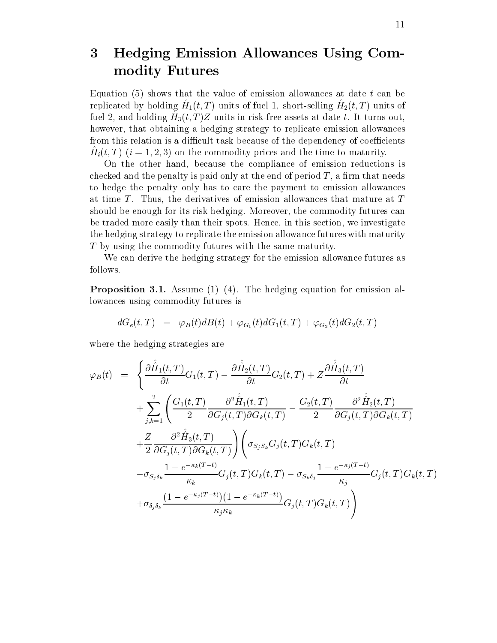## 3 **Hedging Emission Allowances Using Com**modity Futures

Equation (5) shows that the value of emission allowances at date  $t$  can be replicated by holding  $H_1(t,T)$  units of fuel 1, short-selling  $H_2(t,T)$  units of fuel 2, and holding  $H_3(t,T)Z$  units in risk-free assets at date t. It turns out, however, that obtaining a hedging strategy to replicate emission allowances from this relation is a difficult task because of the dependency of coefficients  $H_i(t,T)$   $(i = 1, 2, 3)$  on the commodity prices and the time to maturity.

On the other hand, because the compliance of emission reductions is checked and the penalty is paid only at the end of period  $T$ , a firm that needs to hedge the penalty only has to care the payment to emission allowances at time  $T$ . Thus, the derivatives of emission allowances that mature at  $T$ should be enough for its risk hedging. Moreover, the commodity futures can be traded more easily than their spots. Hence, in this section, we investigate the hedging strategy to replicate the emission allowance futures with maturity  $T$  by using the commodity futures with the same maturity.

We can derive the hedging strategy for the emission allowance futures as follows.

**Proposition 3.1.** Assume  $(1)$ – $(4)$ . The hedging equation for emission allowances using commodity futures is

$$
dG_e(t,T) = \varphi_B(t)dB(t) + \varphi_{G_1}(t)dG_1(t,T) + \varphi_{G_2}(t)dG_2(t,T)
$$

where the hedging strategies are

$$
\varphi_B(t) = \left\{ \frac{\partial \hat{H}_1(t,T)}{\partial t} G_1(t,T) - \frac{\partial \hat{H}_2(t,T)}{\partial t} G_2(t,T) + Z \frac{\partial \hat{H}_3(t,T)}{\partial t} + \sum_{j,k=1}^2 \left( \frac{G_1(t,T)}{2} \frac{\partial^2 \hat{H}_1(t,T)}{\partial G_j(t,T) \partial G_k(t,T)} - \frac{G_2(t,T)}{2} \frac{\partial^2 \hat{H}_2(t,T)}{\partial G_j(t,T) \partial G_k(t,T)} + \frac{Z}{2} \frac{\partial^2 \hat{H}_3(t,T)}{\partial G_j(t,T) \partial G_k(t,T)} \right) \left( \sigma_{S_j S_k} G_j(t,T) G_k(t,T) - \sigma_{S_j \delta_k} \frac{1 - e^{-\kappa_k(T-t)}}{\kappa_k} G_j(t,T) G_k(t,T) - \sigma_{S_k \delta_j} \frac{1 - e^{-\kappa_j(T-t)}}{\kappa_j} G_j(t,T) G_k(t,T) \right\} + \sigma_{\delta_j \delta_k} \frac{(1 - e^{-\kappa_j(T-t)}) (1 - e^{-\kappa_k(T-t)})}{\kappa_j \kappa_k} G_j(t,T) G_k(t,T) \right\}
$$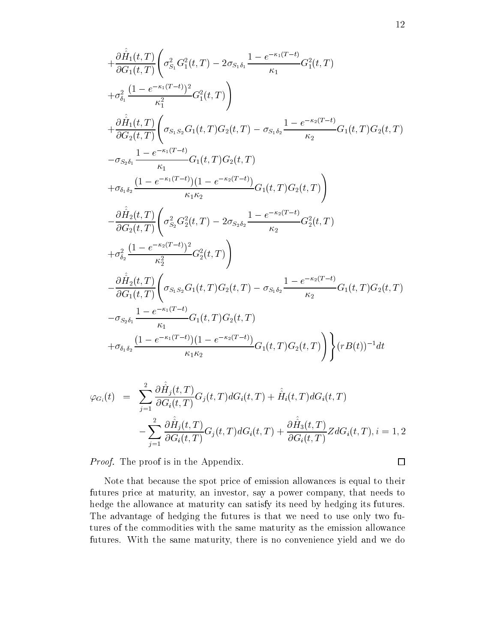$$
+\frac{\partial \hat{H}_1(t,T)}{\partial G_1(t,T)} \left( \sigma_{S_1}^2 G_1^2(t,T) - 2 \sigma_{S_1 \delta_1} \frac{1 - e^{-\kappa_1(T-t)}}{\kappa_1} G_1^2(t,T) \right. \n+ \sigma_{\delta_1}^2 \frac{(1 - e^{-\kappa_1(T-t)})^2}{\kappa_1^2} G_1^2(t,T) \right) \n+ \frac{\partial \hat{H}_1(t,T)}{\partial G_2(t,T)} \left( \sigma_{S_1 S_2} G_1(t,T) G_2(t,T) - \sigma_{S_1 \delta_2} \frac{1 - e^{-\kappa_2(T-t)}}{\kappa_2} G_1(t,T) G_2(t,T) \right. \n- \sigma_{S_2 \delta_1} \frac{1 - e^{-\kappa_1(T-t)}}{\kappa_1} G_1(t,T) G_2(t,T) \n+ \sigma_{\delta_1 \delta_2} \frac{(1 - e^{-\kappa_1(T-t)}) (1 - e^{-\kappa_2(T-t)})}{\kappa_1 \kappa_2} G_1(t,T) G_2(t,T) \right) \n- \frac{\partial \hat{H}_2(t,T)}{\partial G_2(t,T)} \left( \sigma_{S_2}^2 G_2^2(t,T) - 2 \sigma_{S_2 \delta_2} \frac{1 - e^{-\kappa_2(T-t)}}{\kappa_2} G_2^2(t,T) \right. \n+ \sigma_{\delta_2}^2 \frac{(1 - e^{-\kappa_2(T-t)})^2}{\kappa_2^2} G_2^2(t,T) \right) \n- \frac{\partial \hat{H}_2(t,T)}{\partial G_1(t,T)} \left( \sigma_{S_1 S_2} G_1(t,T) G_2(t,T) - \sigma_{S_1 \delta_2} \frac{1 - e^{-\kappa_2(T-t)}}{\kappa_2} G_1(t,T) G_2(t,T) \right) \n- \sigma_{S_2 \delta_1} \frac{1 - e^{-\kappa_1(T-t)}}{\kappa_1} G_1(t,T) G_2(t,T) \right) + \sigma_{\delta_1 \delta_2} \frac{(1 - e^{-\kappa_1(T-t)}) (1 - e^{-\kappa_2(T-t)})}{\kappa_1 \kappa_2} G_1(t,T) G_2(t,T) \right) \left\{ r B(t) \right)^{-1} dt
$$

$$
\varphi_{G_i}(t) = \sum_{j=1}^2 \frac{\partial \hat{H}_j(t,T)}{\partial G_i(t,T)} G_j(t,T) dG_i(t,T) + \hat{H}_i(t,T) dG_i(t,T)
$$

$$
-\sum_{j=1}^2 \frac{\partial \hat{H}_j(t,T)}{\partial G_i(t,T)} G_j(t,T) dG_i(t,T) + \frac{\partial \hat{H}_3(t,T)}{\partial G_i(t,T)} Z dG_i(t,T), i = 1, 2
$$

*Proof.* The proof is in the Appendix.

 $\Box$ 

Note that because the spot price of emission allowances is equal to their futures price at maturity, an investor, say a power company, that needs to hedge the allowance at maturity can satisfy its need by hedging its futures. The advantage of hedging the futures is that we need to use only two futures of the commodities with the same maturity as the emission allowance futures. With the same maturity, there is no convenience yield and we do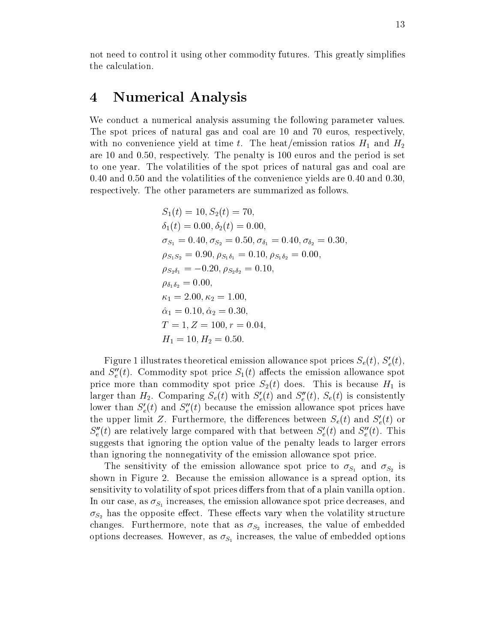not need to control it using other commodity futures. This greatly simplifies the calculation.

### Numerical Analysis  $\boldsymbol{4}$

We conduct a numerical analysis assuming the following parameter values. The spot prices of natural gas and coal are 10 and 70 euros, respectively. with no convenience yield at time t. The heat/emission ratios  $H_1$  and  $H_2$ are 10 and 0.50, respectively. The penalty is 100 euros and the period is set to one year. The volatilities of the spot prices of natural gas and coal are  $0.40$  and  $0.50$  and the volatilities of the convenience yields are 0.40 and 0.30. respectively. The other parameters are summarized as follows.

$$
S_1(t) = 10, S_2(t) = 70,
$$
  
\n
$$
\delta_1(t) = 0.00, \delta_2(t) = 0.00,
$$
  
\n
$$
\sigma_{S_1} = 0.40, \sigma_{S_2} = 0.50, \sigma_{\delta_1} = 0.40, \sigma_{\delta_2} = 0.30,
$$
  
\n
$$
\rho_{S_1 S_2} = 0.90, \rho_{S_1 \delta_1} = 0.10, \rho_{S_1 \delta_2} = 0.00,
$$
  
\n
$$
\rho_{S_2 \delta_1} = -0.20, \rho_{S_2 \delta_2} = 0.10,
$$
  
\n
$$
\rho_{\delta_1 \delta_2} = 0.00,
$$
  
\n
$$
\kappa_1 = 2.00, \kappa_2 = 1.00,
$$
  
\n
$$
\hat{\alpha}_1 = 0.10, \hat{\alpha}_2 = 0.30,
$$
  
\n
$$
T = 1, Z = 100, r = 0.04,
$$
  
\n
$$
H_1 = 10, H_2 = 0.50.
$$

Figure 1 illustrates theoretical emission allowance spot prices  $S_e(t)$ ,  $S'_e(t)$ , and  $S_e''(t)$ . Commodity spot price  $S_1(t)$  affects the emission allowance spot price more than commodity spot price  $S_2(t)$  does. This is because  $H_1$  is larger than  $H_2$ . Comparing  $S_e(t)$  with  $S'_e(t)$  and  $S''_e(t)$ ,  $S_e(t)$  is consistently lower than  $S'_{e}(t)$  and  $S''_{e}(t)$  because the emission allowance spot prices have the upper limit Z. Furthermore, the differences between  $S_e(t)$  and  $S'_e(t)$  or  $S_e''(t)$  are relatively large compared with that between  $S_e'(t)$  and  $S_e''(t)$ . This suggests that ignoring the option value of the penalty leads to larger errors than ignoring the nonnegativity of the emission allowance spot price.

The sensitivity of the emission allowance spot price to  $\sigma_{S_1}$  and  $\sigma_{S_2}$  is shown in Figure 2. Because the emission allowance is a spread option, its sensitivity to volatility of spot prices differs from that of a plain vanilla option. In our case, as  $\sigma_{S_1}$  increases, the emission allowance spot price decreases, and  $\sigma_{S_2}$  has the opposite effect. These effects vary when the volatility structure changes. Furthermore, note that as  $\sigma_{S_2}$  increases, the value of embedded options decreases. However, as  $\sigma_{S_1}$  increases, the value of embedded options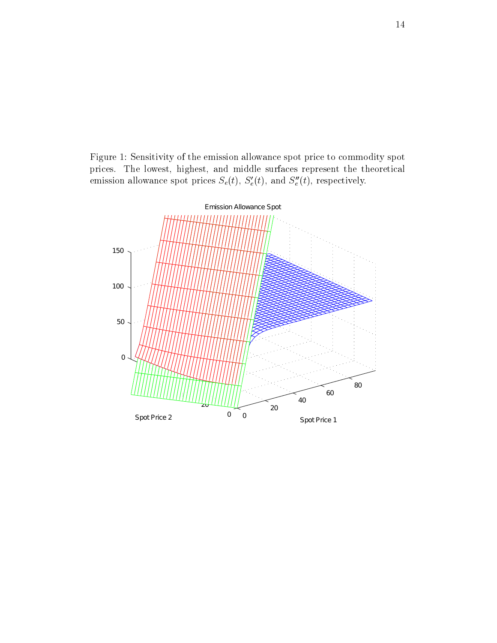$\mathbf{r} = \mathbf{r} + \mathbf{r}$  , where  $\mathbf{r} = \mathbf{r} + \mathbf{r}$  , we have the contract of the contract of the contract of the contract of the contract of the contract of the contract of the contract of the contract of the contract  - - - - - 1 - --- - - emission ahowance spot prices  $\mathcal{S}_e(\iota), \ \mathcal{S}_e(\iota)$ , and  $\mathcal{S}_e(\iota)$ , respectively.

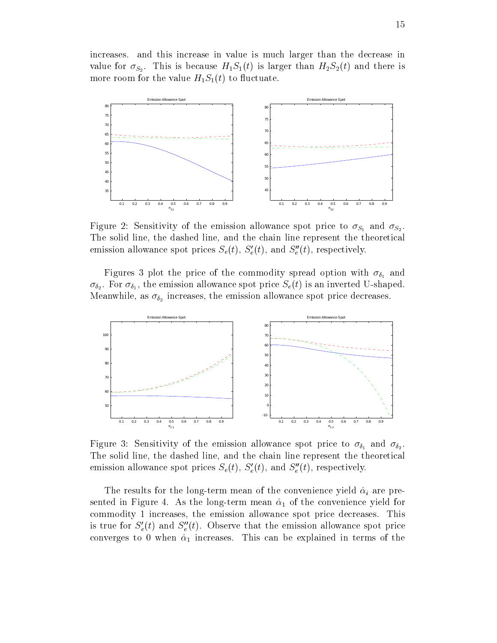increases. and this increase in value is much larger than the decrease in value for  $\sigma_{S_2}$ . This is because  $H_1S_1(t)$  is larger than  $H_2S_2(t)$  and there is more room for the value  $H_1S_1(t)$  to fluctuate.



Figure 2: Sensitivity of the emission allowance spot price to  $\sigma_{S_1}$  and  $\sigma_{S_2}$ . The solid line, the dashed line, and the chain line represent the theoretical emission allowance spot prices  $S_e(t)$ ,  $S'_e(t)$ , and  $S''_e(t)$ , respectively.

Figures 3 plot the price of the commodity spread option with  $\sigma_{\delta_1}$  and  $\sigma_{\delta_2}$ . For  $\sigma_{\delta_1}$ , the emission allowance spot price  $S_e(t)$  is an inverted U-shaped. Meanwhile, as  $\sigma_{\delta_2}$  increases, the emission allowance spot price decreases.



Figure 3: Sensitivity of the emission allowance spot price to  $\sigma_{\delta_1}$  and  $\sigma_{\delta_2}$ . The solid line, the dashed line, and the chain line represent the theoretical emission allowance spot prices  $S_e(t)$ ,  $S'_e(t)$ , and  $S''_e(t)$ , respectively.

The results for the long-term mean of the convenience yield  $\hat{\alpha}_i$  are presented in Figure 4. As the long-term mean  $\hat{\alpha}_1$  of the convenience yield for commodity 1 increases, the emission allowance spot price decreases. This is true for  $S'_e(t)$  and  $S''_e(t)$ . Observe that the emission allowance spot price converges to 0 when  $\hat{\alpha}_1$  increases. This can be explained in terms of the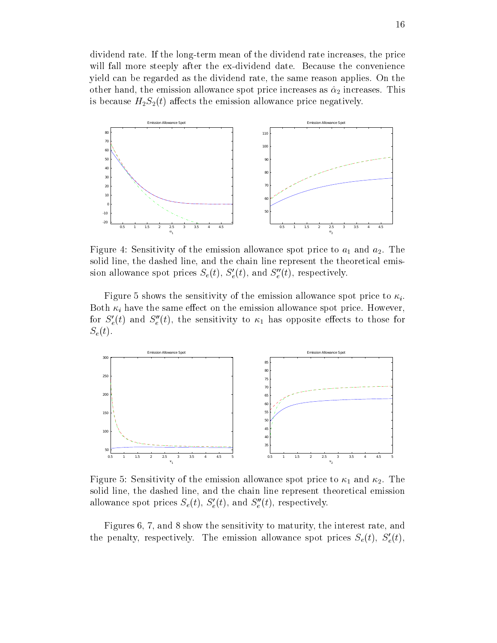$\mathbf{1}$  1 - -- 1
- - -%- - ;- - - -- - $\blacksquare$  . The set of the set of the set of the set of the set of the set of the set of the set of the set of the set of the set of the set of the set of the set of the set of the set of the set of the set of the set of the - 
- - - 
  -  -- K-  --   "- - -- @- - - -  - --



and and all modern contracts to the communication contract where the state of the contract  $\mathcal{L}_{\mathcal{A}}$  and a  - 
- - - -  - --- - --  sion ahowance spot prices  $S_e(t)$ ,  $S_e(t)$ , and  $S_e(t)$ , respectively.

 $\Box$  . The contract of the contract of the contract of the contract of the contract of the contract of the contract of the contract of the contract of the contract of the contract of the contract of the contract of the co ; - 
- - -@- 
- - - 
  - 6- for  $S_e(t)$  and  $S_e(t)$ , the sensitivity to  $\kappa_1$  has opposite effects to those for  $S_e(t)$ .



5 - D -
 1 
- - - 
  - - - - - - - -  - --- --  ahowance spot prices  $S_e(t)$ ,  $S_e(t)$ , and  $S_e(t)$ , respectively.

 $\mathcal{A}$  . The state of the state of the state of the state of the state of the state of the state of the state of the state of the state of the state of the state of the state of the state of the state of the state of th the penalty, respectively. The emission allowance spot prices  $S_e(t)$ ,  $S_e(t)$ ,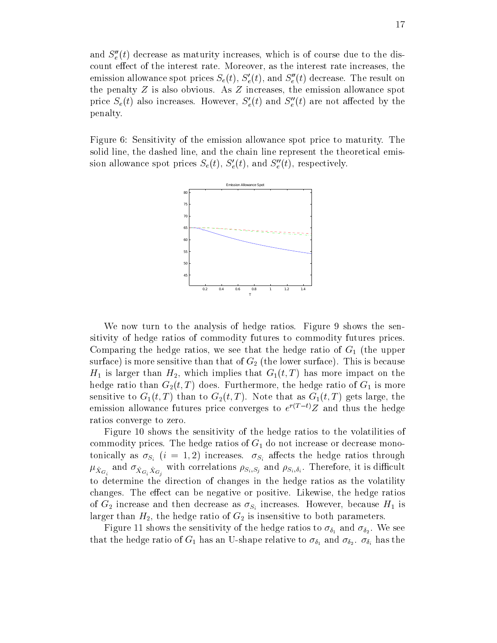and  $S_{\epsilon}''(t)$  decrease as maturity increases, which is of course due to the discount effect of the interest rate. Moreover, as the interest rate increases, the emission allowance spot prices  $S_e(t)$ ,  $S'_e(t)$ , and  $S''_e(t)$  decrease. The result on the penalty  $Z$  is also obvious. As  $Z$  increases, the emission allowance spot price  $S_e(t)$  also increases. However,  $S'_e(t)$  and  $S''_e(t)$  are not affected by the penalty.

Figure 6: Sensitivity of the emission allowance spot price to maturity. The solid line, the dashed line, and the chain line represent the theoretical emission allowance spot prices  $S_e(t)$ ,  $S'_e(t)$ , and  $S''_e(t)$ , respectively.



We now turn to the analysis of hedge ratios. Figure 9 shows the sensitivity of hedge ratios of commodity futures to commodity futures prices. Comparing the hedge ratios, we see that the hedge ratio of  $G_1$  (the upper surface) is more sensitive than that of  $G_2$  (the lower surface). This is because  $H_1$  is larger than  $H_2$ , which implies that  $G_1(t,T)$  has more impact on the hedge ratio than  $G_2(t,T)$  does. Furthermore, the hedge ratio of  $G_1$  is more sensitive to  $G_1(t,T)$  than to  $G_2(t,T)$ . Note that as  $G_1(t,T)$  gets large, the emission allowance futures price converges to  $e^{r(T-t)}Z$  and thus the hedge ratios converge to zero.

Figure 10 shows the sensitivity of the hedge ratios to the volatilities of commodity prices. The hedge ratios of  $G_1$  do not increase or decrease monotonically as  $\sigma_{S_i}$  (i = 1,2) increases.  $\sigma_{S_i}$  affects the hedge ratios through  $\mu_{\hat{X}_{G_i}}$  and  $\sigma_{\hat{X}_{G_i}\hat{X}_{G_j}}$  with correlations  $\rho_{S_i,S_j}$  and  $\rho_{S_i,\delta_i}$ . Therefore, it is difficult to determine the direction of changes in the hedge ratios as the volatility changes. The effect can be negative or positive. Likewise, the hedge ratios of  $G_2$  increase and then decrease as  $\sigma_{S_i}$  increases. However, because  $H_1$  is larger than  $H_2$ , the hedge ratio of  $G_2$  is insensitive to both parameters.

Figure 11 shows the sensitivity of the hedge ratios to  $\sigma_{\delta_1}$  and  $\sigma_{\delta_2}$ . We see that the hedge ratio of  $G_1$  has an U-shape relative to  $\sigma_{\delta_1}$  and  $\sigma_{\delta_2}$ .  $\sigma_{\delta_i}$  has the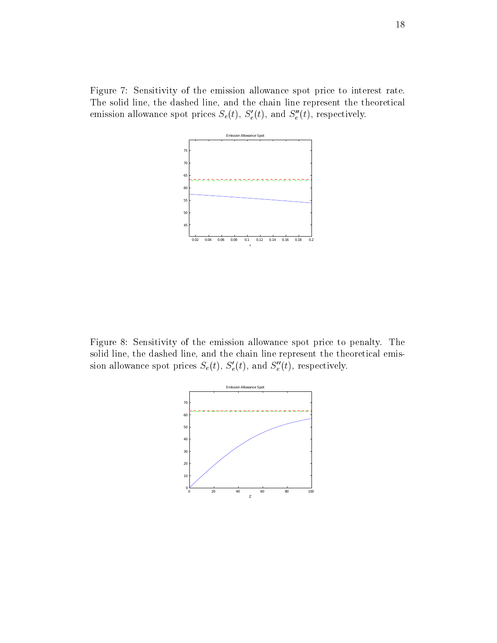$\mathbf{A}$  . The state of the state of the state of the state of the state of the state of the state of the state of the state of the state of the state of the state of the state of the state of the state of the state of th -  - - - - -  - --- - - emission ahowance spot prices  $\mathcal{S}_e(\iota), \ \mathcal{S}_e(\iota)$ , and  $\mathcal{S}_e(\iota)$ , respectively.



5 - : -
 1 - - -  - - - - 
- - - -  - --- - --  sion ahowance spot prices  $S_e(t)$ ,  $S_e(t)$ , and  $S_e(t)$ , respectively.

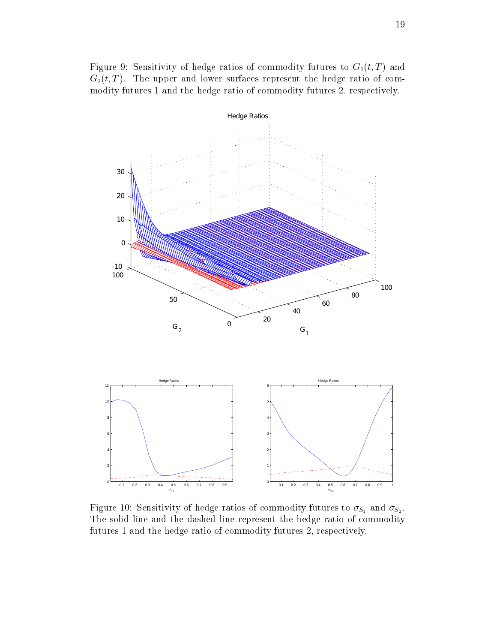5 - 3 -
 1 --  1  1 
 - -  $\alpha_2, \beta, \pm, \ldots$  and above barracce represent the neage ratio of com- $\mathbf{A}$  . The set of the set of the set of the set of the set of the set of the set of the set of the set of the set of the set of the set of the set of the set of the set of the set of the set of the set of the set of t



5 - # -
 1 --  1  1 
 - - $\frac{1}{2}$  and  $\frac{1}{2}$  in the dashed line represent the hedge ratio of commodity  $\mathbf{1}$  . The set of the set of the set of the set of the set of the set of the set of the set of the set of the set of the set of the set of the set of the set of the set of the set of the set of the set of the set of t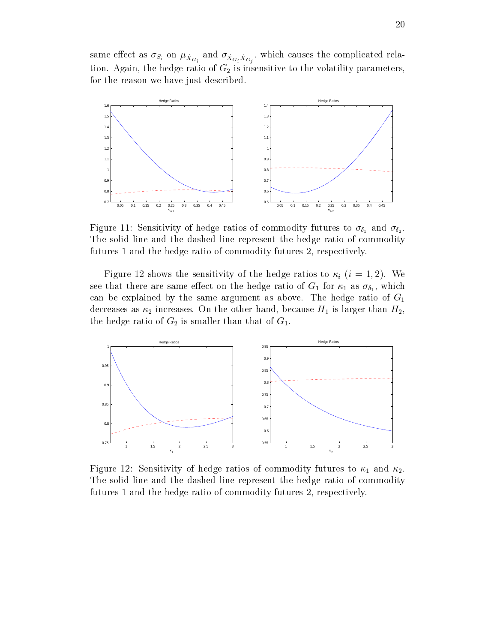$\mathcal{L}_i$  and  $\mathcal{L}_i$  and  $\mathcal{L}_i$  and  $\mathcal{L}_i$  and  $\mathcal{L}_i$  and  $\mathcal{L}_i$  and  $\mathcal{L}_i$  and  $\mathcal{L}_i$  and  $\mathcal{L}_i$  and  $\mathcal{L}_i$  and  $\mathcal{L}_i$  and  $\mathcal{L}_i$  and  $\mathcal{L}_i$  and  $\mathcal{L}_i$  and  $\mathcal{L}_i$  and  $\mathcal{L}_i$  a المستحدة المستحدين المستحدة المستحدة المستحدة المستحدة المستحدة المستحدة المستحدة المستحدة المستحدة المستحدة المستحدة 1 - - - - = - "-



5 - -
 1 --  1  1 
 - Æ Æ- -  - - - - --- - --  1   $\mathbf{1}$  . The set of the set of the set of the set of the set of the set of the set of the set of the set of the set of the set of the set of the set of the set of the set of the set of the set of the set of the set of t

5 - - -
 1 - --  <sup>H</sup> 9- $\mathcal{O}$   $\mathcal{O}$   $\mathcal{O}$   $\mathcal{O}$   $\mathcal{O}$   $\mathcal{O}$   $\mathcal{O}$   $\mathcal{O}$   $\mathcal{O}$   $\mathcal{O}$   $\mathcal{O}$   $\mathcal{O}$   $\mathcal{O}$   $\mathcal{O}$   $\mathcal{O}$   $\mathcal{O}$   $\mathcal{O}$   $\mathcal{O}$   $\mathcal{O}$   $\mathcal{O}$   $\mathcal{O}$   $\mathcal{O}$   $\mathcal{O}$   $\mathcal{O}$   $\mathcal{$  "- -%- " - - - "- - --  1  $\overline{a}$  , the contract of  $\overline{a}$ - --  1 -  - 
 1



5 - -
 1 --  1  1 
 - -  $\mathbf{r}$  $\mathbf{1}$  , and the set of the set of the set of the set of the set of the set of the set of the set of the set of the set of the set of the set of the set of the set of the set of the set of the set of the set of the set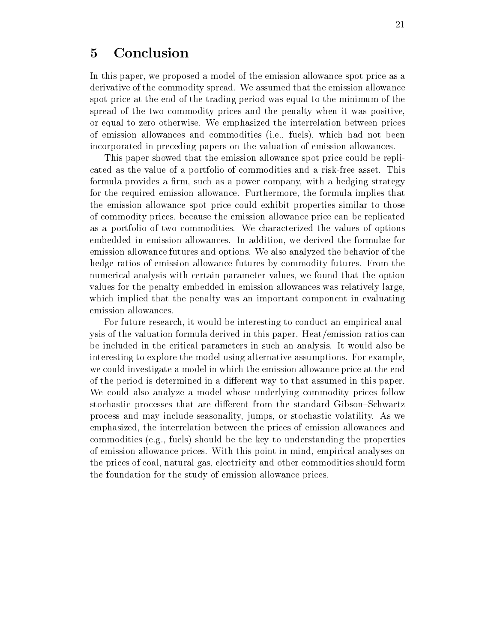### $\overline{5}$ Conclusion

In this paper, we proposed a model of the emission allowance spot price as a derivative of the commodity spread. We assumed that the emission allowance spot price at the end of the trading period was equal to the minimum of the spread of the two commodity prices and the penalty when it was positive, or equal to zero otherwise. We emphasized the interrelation between prices of emission allowances and commodities (i.e., fuels), which had not been incorporated in preceding papers on the valuation of emission allowances.

This paper showed that the emission allowance spot price could be replicated as the value of a portfolio of commodities and a risk-free asset. This formula provides a firm, such as a power company, with a hedging strategy for the required emission allowance. Furthermore, the formula implies that the emission allowance spot price could exhibit properties similar to those of commodity prices, because the emission allowance price can be replicated as a portfolio of two commodities. We characterized the values of options embedded in emission allowances. In addition, we derived the formulae for emission allowance futures and options. We also analyzed the behavior of the hedge ratios of emission allowance futures by commodity futures. From the numerical analysis with certain parameter values, we found that the option values for the penalty embedded in emission allowances was relatively large. which implied that the penalty was an important component in evaluating emission allowances.

For future research, it would be interesting to conduct an empirical analysis of the valuation formula derived in this paper. Heat/emission ratios can be included in the critical parameters in such an analysis. It would also be interesting to explore the model using alternative assumptions. For example. we could investigate a model in which the emission allowance price at the end of the period is determined in a different way to that assumed in this paper. We could also analyze a model whose underlying commodity prices follow stochastic processes that are different from the standard Gibson–Schwartz process and may include seasonality, jumps, or stochastic volatility. As we emphasized, the interrelation between the prices of emission allowances and commodities (e.g., fuels) should be the key to understanding the properties of emission allowance prices. With this point in mind, empirical analyses on the prices of coal, natural gas, electricity and other commodities should form the foundation for the study of emission allowance prices.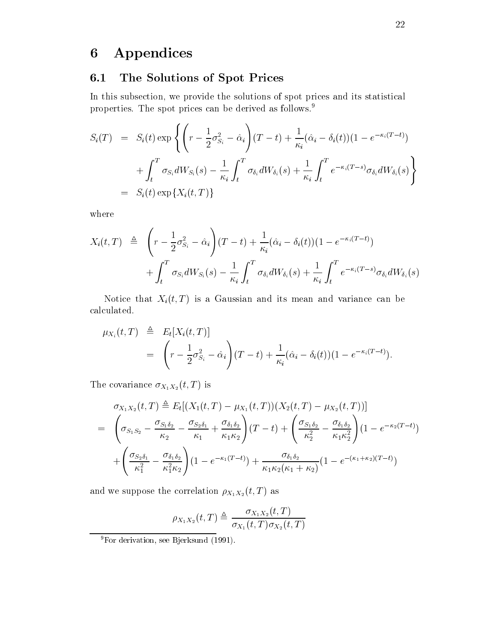### Appendices  $\boldsymbol{6}$

#### The Solutions of Spot Prices  $6.1$

In this subsection, we provide the solutions of spot prices and its statistical properties. The spot prices can be derived as follows.<sup>9</sup>

$$
S_i(T) = S_i(t) \exp \left\{ \left( r - \frac{1}{2} \sigma_{S_i}^2 - \hat{\alpha}_i \right) (T - t) + \frac{1}{\kappa_i} (\hat{\alpha}_i - \delta_i(t)) (1 - e^{-\kappa_i (T - t)}) \right. \\ \left. + \int_t^T \sigma_{S_i} dW_{S_i}(s) - \frac{1}{\kappa_i} \int_t^T \sigma_{\delta_i} dW_{\delta_i}(s) + \frac{1}{\kappa_i} \int_t^T e^{-\kappa_i (T - s)} \sigma_{\delta_i} dW_{\delta_i}(s) \right\}
$$
  
=  $S_i(t) \exp\{X_i(t, T)\}$ 

where

$$
X_i(t,T) \triangleq \left(r - \frac{1}{2}\sigma_{S_i}^2 - \hat{\alpha}_i\right)(T-t) + \frac{1}{\kappa_i}(\hat{\alpha}_i - \delta_i(t))(1 - e^{-\kappa_i(T-t)}) + \int_t^T \sigma_{S_i}dW_{S_i}(s) - \frac{1}{\kappa_i}\int_t^T \sigma_{\delta_i}dW_{\delta_i}(s) + \frac{1}{\kappa_i}\int_t^T e^{-\kappa_i(T-s)}\sigma_{\delta_i}dW_{\delta_i}(s)
$$

Notice that  $X_i(t,T)$  is a Gaussian and its mean and variance can be calculated.

$$
\mu_{X_i}(t,T) \triangleq E_t[X_i(t,T)]
$$
  
=  $\left(r - \frac{1}{2}\sigma_{S_i}^2 - \hat{\alpha}_i\right)(T-t) + \frac{1}{\kappa_i}(\hat{\alpha}_i - \delta_i(t))(1 - e^{-\kappa_i(T-t)}).$ 

The covariance  $\sigma_{X_1X_2}(t,T)$  is

$$
\sigma_{X_1 X_2}(t, T) \triangleq E_t[(X_1(t, T) - \mu_{X_1}(t, T))(X_2(t, T) - \mu_{X_2}(t, T))]
$$
\n
$$
= \left(\sigma_{S_1 S_2} - \frac{\sigma_{S_1 \delta_2}}{\kappa_2} - \frac{\sigma_{S_2 \delta_1}}{\kappa_1} + \frac{\sigma_{\delta_1 \delta_2}}{\kappa_1 \kappa_2}\right)(T - t) + \left(\frac{\sigma_{S_1 \delta_2}}{\kappa_2^2} - \frac{\sigma_{\delta_1 \delta_2}}{\kappa_1 \kappa_2^2}\right)(1 - e^{-\kappa_2 (T - t)})
$$
\n
$$
+ \left(\frac{\sigma_{S_2 \delta_1}}{\kappa_1^2} - \frac{\sigma_{\delta_1 \delta_2}}{\kappa_1^2 \kappa_2}\right)(1 - e^{-\kappa_1 (T - t)}) + \frac{\sigma_{\delta_1 \delta_2}}{\kappa_1 \kappa_2 (\kappa_1 + \kappa_2)}(1 - e^{-(\kappa_1 + \kappa_2)(T - t)})
$$

and we suppose the correlation  $\rho_{X_1 X_2}(t, T)$  as

$$
\rho_{X_1X_2}(t,T) \triangleq \frac{\sigma_{X_1X_2}(t,T)}{\sigma_{X_1}(t,T)\sigma_{X_2}(t,T)}
$$

 $9$ For derivation, see Bjerksund (1991).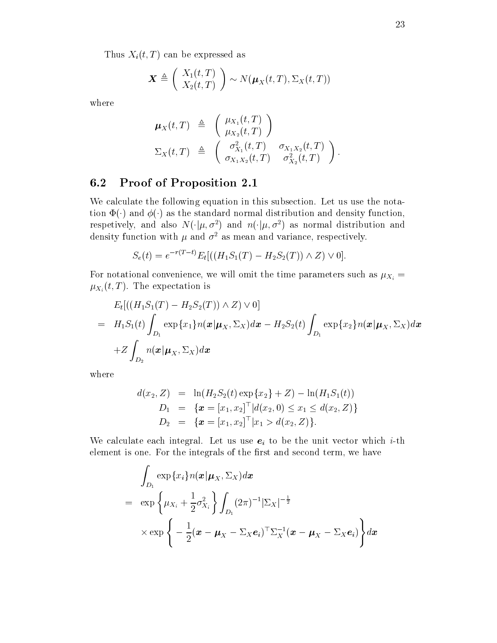Thus  $X_i(t, T)$  can be expressed as

$$
\boldsymbol{X} \triangleq \left( \begin{array}{c} X_1(t,T) \\ X_2(t,T) \end{array} \right) \sim N(\boldsymbol{\mu}_X(t,T), \Sigma_X(t,T))
$$

where

$$
\mu_X(t,T) \triangleq \begin{pmatrix} \mu_{X_1}(t,T) \\ \mu_{X_2}(t,T) \end{pmatrix}
$$
  
\n
$$
\Sigma_X(t,T) \triangleq \begin{pmatrix} \sigma_{X_1}^2(t,T) & \sigma_{X_1X_2}(t,T) \\ \sigma_{X_1X_2}(t,T) & \sigma_{X_2}^2(t,T) \end{pmatrix}.
$$

#### **Proof of Proposition 2.1** 6.2

We calculate the following equation in this subsection. Let us use the notation  $\Phi(\cdot)$  and  $\phi(\cdot)$  as the standard normal distribution and density function, respectively, and also  $N(\cdot|\mu,\sigma^2)$  and  $n(\cdot|\mu,\sigma^2)$  as normal distribution and density function with  $\mu$  and  $\sigma^2$  as mean and variance, respectively.

$$
S_e(t) = e^{-r(T-t)} E_t[((H_1S_1(T) - H_2S_2(T)) \wedge Z) \vee 0].
$$

For notational convenience, we will omit the time parameters such as  $\mu_{X_i} =$  $\mu_{X_i}(t,T)$ . The expectation is

$$
E_t[((H_1S_1(T) - H_2S_2(T)) \wedge Z) \vee 0]
$$
  
=  $H_1S_1(t)\int_{D_1} \exp\{x_1\}n(\boldsymbol{x}|\boldsymbol{\mu}_X, \Sigma_X)d\boldsymbol{x} - H_2S_2(t)\int_{D_1} \exp\{x_2\}n(\boldsymbol{x}|\boldsymbol{\mu}_X, \Sigma_X)d\boldsymbol{x}$   
+ $Z\int_{D_2} n(\boldsymbol{x}|\boldsymbol{\mu}_X, \Sigma_X)d\boldsymbol{x}$ 

where

$$
d(x_2, Z) = \ln(H_2S_2(t) \exp\{x_2\} + Z) - \ln(H_1S_1(t))
$$
  
\n
$$
D_1 = \{ \boldsymbol{x} = [x_1, x_2]^\top | d(x_2, 0) \le x_1 \le d(x_2, Z) \}
$$
  
\n
$$
D_2 = \{ \boldsymbol{x} = [x_1, x_2]^\top | x_1 > d(x_2, Z) \}.
$$

We calculate each integral. Let us use  $e_i$  to be the unit vector which *i*-th element is one. For the integrals of the first and second term, we have

$$
\int_{D_1} \exp\{x_i\} n(\boldsymbol{x}|\boldsymbol{\mu}_X, \Sigma_X) d\boldsymbol{x}
$$
\n
$$
= \exp\left\{\mu_{X_i} + \frac{1}{2} \sigma_{X_i}^2\right\} \int_{D_1} (2\pi)^{-1} |\Sigma_X|^{-\frac{1}{2}}
$$
\n
$$
\times \exp\left\{-\frac{1}{2} (\boldsymbol{x} - \boldsymbol{\mu}_X - \Sigma_X \boldsymbol{e}_i)^\top \Sigma_X^{-1} (\boldsymbol{x} - \boldsymbol{\mu}_X - \Sigma_X \boldsymbol{e}_i)\right\} d\boldsymbol{x}
$$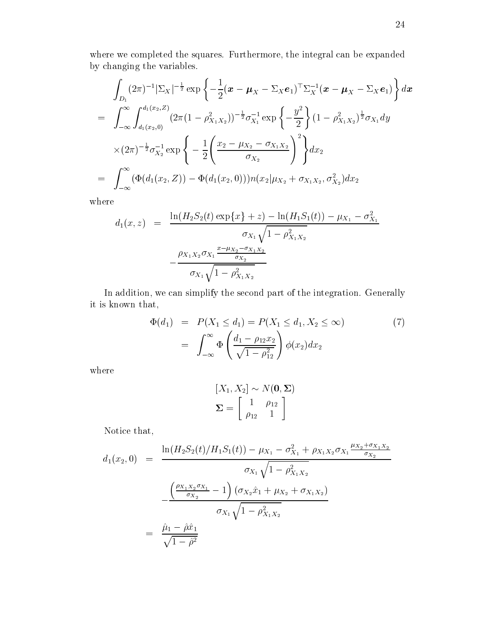where we completed the squares. Furthermore, the integral can be expanded by changing the variables.

$$
\int_{D_1} (2\pi)^{-1} |\Sigma_X|^{-\frac{1}{2}} \exp \left\{ -\frac{1}{2} (\boldsymbol{x} - \boldsymbol{\mu}_X - \Sigma_X \boldsymbol{e}_1)^{\top} \Sigma_X^{-1} (\boldsymbol{x} - \boldsymbol{\mu}_X - \Sigma_X \boldsymbol{e}_1) \right\} d\boldsymbol{x}
$$
\n
$$
= \int_{-\infty}^{\infty} \int_{d_1(x_2,0)}^{d_1(x_2,0)} (2\pi (1 - \rho_{X_1X_2}^2))^{-\frac{1}{2}} \sigma_{X_1}^{-1} \exp \left\{ -\frac{y^2}{2} \right\} (1 - \rho_{X_1X_2}^2)^{\frac{1}{2}} \sigma_{X_1} dy
$$
\n
$$
\times (2\pi)^{-\frac{1}{2}} \sigma_{X_2}^{-1} \exp \left\{ -\frac{1}{2} \left( \frac{x_2 - \mu_{X_2} - \sigma_{X_1X_2}}{\sigma_{X_2}} \right)^2 \right\} d\boldsymbol{x}_2
$$
\n
$$
= \int_{-\infty}^{\infty} (\Phi(d_1(x_2, Z)) - \Phi(d_1(x_2, 0))) n(x_2 | \mu_{X_2} + \sigma_{X_1X_2}, \sigma_{X_2}^2) d\boldsymbol{x}_2
$$

where

$$
d_1(x, z) = \frac{\ln(H_2 S_2(t) \exp\{x\} + z) - \ln(H_1 S_1(t)) - \mu_{X_1} - \sigma_{X_1}^2}{\sigma_{X_1} \sqrt{1 - \rho_{X_1 X_2}^2}}
$$

$$
-\frac{\rho_{X_1 X_2} \sigma_{X_1} \frac{x - \mu_{X_2} - \sigma_{X_1 X_2}}{\sigma_{X_2}}}{\sigma_{X_1} \sqrt{1 - \rho_{X_1 X_2}^2}}
$$

In addition, we can simplify the second part of the integration. Generally it is known that,

$$
\Phi(d_1) = P(X_1 \le d_1) = P(X_1 \le d_1, X_2 \le \infty)
$$
\n
$$
= \int_{-\infty}^{\infty} \Phi\left(\frac{d_1 - \rho_{12}x_2}{\sqrt{1 - \rho_{12}^2}}\right) \phi(x_2) dx_2
$$
\n(7)

 $% \left\vert \mathcal{L}_{\mathcal{A}}\right\vert$  where

$$
[X_1, X_2] \sim N(\mathbf{0}, \Sigma)
$$

$$
\Sigma = \begin{bmatrix} 1 & \rho_{12} \\ \rho_{12} & 1 \end{bmatrix}
$$

Notice that,

$$
d_1(x_2, 0) = \frac{\ln(H_2 S_2(t)/H_1 S_1(t)) - \mu_{X_1} - \sigma_{X_1}^2 + \rho_{X_1 X_2} \sigma_{X_1} \frac{\mu_{X_2} + \sigma_{X_1 X_2}}{\sigma_{X_2}}}{\sigma_{X_1} \sqrt{1 - \rho_{X_1 X_2}^2}}
$$

$$
- \frac{\left(\frac{\rho_{X_1 X_2} \sigma_{X_1}}{\sigma_{X_2}} - 1\right) (\sigma_{X_2} \hat{x}_1 + \mu_{X_2} + \sigma_{X_1 X_2})}{\sigma_{X_1} \sqrt{1 - \rho_{X_1 X_2}^2}}
$$

$$
= \frac{\hat{\mu}_1 - \hat{\rho} \hat{x}_1}{\sqrt{1 - \hat{\rho}^2}}
$$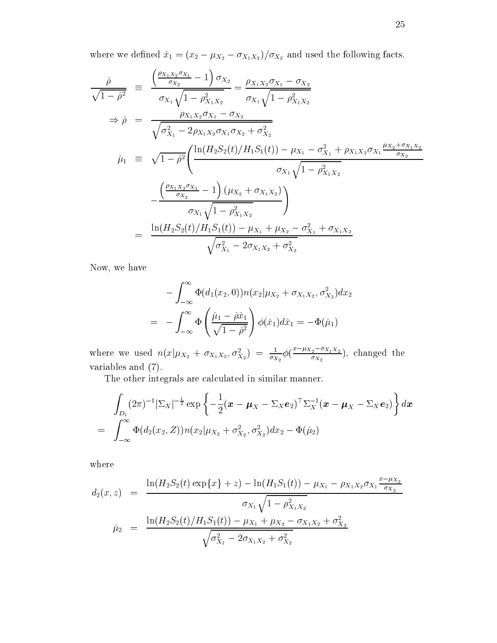where we defined  $\hat{x}_1 = (x_2 - \mu_{X_2} - \sigma_{X_1 X_2})/\sigma_{X_2}$  and used the following facts.

$$
\frac{\hat{\rho}}{\sqrt{1-\hat{\rho}^2}} = \frac{\left(\frac{\rho_{X_1 X_2} \sigma_{X_1}}{\sigma_{X_2}} - 1\right) \sigma_{X_2}}{\sigma_{X_1} \sqrt{1-\rho_{X_1 X_2}^2}} = \frac{\rho_{X_1 X_2} \sigma_{X_1} - \sigma_{X_2}}{\sigma_{X_1} \sqrt{1-\rho_{X_1 X_2}^2}}
$$
\n
$$
\Rightarrow \hat{\rho} = \frac{\rho_{X_1 X_2} \sigma_{X_1} - \sigma_{X_2}}{\sqrt{\sigma_{X_1}^2 - 2\rho_{X_1 X_2} \sigma_{X_1} \sigma_{X_2} + \sigma_{X_2}^2}}
$$
\n
$$
\hat{\mu}_1 \equiv \sqrt{1-\hat{\rho}^2} \left(\frac{\ln(H_2 S_2(t)/H_1 S_1(t)) - \mu_{X_1} - \sigma_{X_1}^2 + \rho_{X_1 X_2} \sigma_{X_1} \frac{\mu_{X_2} + \sigma_{X_1 X_2}}{\sigma_{X_2}}}{\sigma_{X_1} \sqrt{1-\rho_{X_1 X_2}^2}}\right)
$$
\n
$$
-\frac{\left(\frac{\rho_{X_1 X_2} \sigma_{X_1}}{\sigma_{X_2}} - 1\right) (\mu_{X_2} + \sigma_{X_1 X_2})}{\sigma_{X_1} \sqrt{1-\rho_{X_1 X_2}^2}}\right)}
$$
\n
$$
= \frac{\ln(H_2 S_2(t)/H_1 S_1(t)) - \mu_{X_1} + \mu_{X_2} - \sigma_{X_1}^2 + \sigma_{X_1 X_2}}{\sqrt{\sigma_{X_1}^2 - 2\sigma_{X_1 X_2} + \sigma_{X_2}^2}}
$$

Now, we have

$$
- \int_{-\infty}^{\infty} \Phi(d_1(x_2, 0)) n(x_2 | \mu_{X_2} + \sigma_{X_1 X_2}, \sigma_{X_2}^2) dx_2
$$
  
= 
$$
- \int_{-\infty}^{\infty} \Phi\left(\frac{\hat{\mu}_1 - \hat{\rho} \hat{x}_1}{\sqrt{1 - \hat{\rho}^2}}\right) \phi(\hat{x}_1) d\hat{x}_1 = -\Phi(\hat{\mu}_1)
$$

where we used  $n(x|\mu_{X_2} + \sigma_{X_1X_2}, \sigma_{X_2}^2) = \frac{1}{\sigma_{X_2}} \phi(\frac{x - \mu_{X_2} - \sigma_{X_1X_2}}{\sigma_{X_2}})$ , changed the variables and  $(7)$ .

The other integrals are calculated in similar manner.

$$
\int_{D_1} (2\pi)^{-1} |\Sigma_X|^{-\frac{1}{2}} \exp \left\{-\frac{1}{2} (\boldsymbol{x} - \boldsymbol{\mu}_X - \Sigma_X \boldsymbol{e}_2)^{\top} \Sigma_X^{-1} (\boldsymbol{x} - \boldsymbol{\mu}_X - \Sigma_X \boldsymbol{e}_2)\right\} d\boldsymbol{x}
$$
\n
$$
= \int_{-\infty}^{\infty} \Phi(d_2(x_2, Z)) n(x_2 | \mu_{X_2} + \sigma_{X_2}^2, \sigma_{X_2}^2) dx_2 - \Phi(\hat{\mu}_2)
$$

where

$$
d_2(x, z) = \frac{\ln(H_2 S_2(t) \exp\{x\} + z) - \ln(H_1 S_1(t)) - \mu_{X_1} - \rho_{X_1 X_2} \sigma_{X_1} \frac{x - \mu_{X_2}}{\sigma_{X_2}}}{\sigma_{X_1} \sqrt{1 - \rho_{X_1 X_2}^2}}
$$
  

$$
\hat{\mu}_2 = \frac{\ln(H_2 S_2(t) / H_1 S_1(t)) - \mu_{X_1} + \mu_{X_2} - \sigma_{X_1 X_2} + \sigma_{X_2}^2}{\sqrt{\sigma_{X_1}^2 - 2\sigma_{X_1 X_2} + \sigma_{X_2}^2}}
$$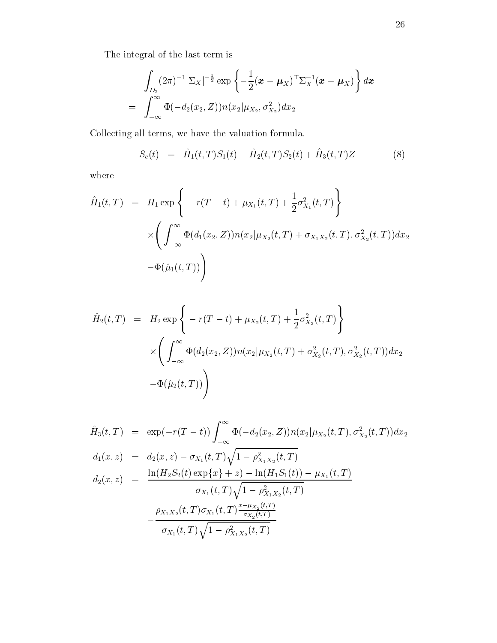The integral of the last term is

$$
\int_{D_2} (2\pi)^{-1} |\Sigma_X|^{-\frac{1}{2}} \exp \left\{-\frac{1}{2} (\boldsymbol{x} - \boldsymbol{\mu}_X)^{\top} \Sigma_X^{-1} (\boldsymbol{x} - \boldsymbol{\mu}_X)\right\} d\boldsymbol{x}
$$
\n
$$
= \int_{-\infty}^{\infty} \Phi(-d_2(x_2, Z)) n(x_2 | \mu_{X_2}, \sigma_{X_2}^2) dx_2
$$

Collecting all terms, we have the valuation formula.

$$
S_e(t) = \hat{H}_1(t,T)S_1(t) - \hat{H}_2(t,T)S_2(t) + \hat{H}_3(t,T)Z \tag{8}
$$

 $% \left\vert \mathcal{L}_{\mathcal{A}}\right\vert$  where

$$
\hat{H}_1(t,T) = H_1 \exp \left\{ -r(T-t) + \mu_{X_1}(t,T) + \frac{1}{2} \sigma_{X_1}^2(t,T) \right\} \times \left( \int_{-\infty}^{\infty} \Phi(d_1(x_2, Z)) n(x_2 | \mu_{X_2}(t,T) + \sigma_{X_1 X_2}(t,T), \sigma_{X_2}^2(t,T)) dx_2 \n- \Phi(\hat{\mu}_1(t,T)) \right)
$$

$$
\hat{H}_2(t,T) = H_2 \exp \left\{ -r(T-t) + \mu_{X_2}(t,T) + \frac{1}{2} \sigma_{X_2}^2(t,T) \right\}
$$
\n
$$
\times \left( \int_{-\infty}^{\infty} \Phi(d_2(x_2, Z)) n(x_2 | \mu_{X_2}(t,T) + \sigma_{X_2}^2(t,T), \sigma_{X_2}^2(t,T)) dx_2
$$
\n
$$
- \Phi(\hat{\mu}_2(t,T)) \right)
$$

$$
\hat{H}_3(t,T) = \exp(-r(T-t)) \int_{-\infty}^{\infty} \Phi(-d_2(x_2, Z)) n(x_2 | \mu_{X_2}(t, T), \sigma_{X_2}^2(t, T)) dx_2
$$
\n
$$
d_1(x,z) = d_2(x,z) - \sigma_{X_1}(t,T) \sqrt{1 - \rho_{X_1X_2}^2(t,T)}
$$
\n
$$
d_2(x,z) = \frac{\ln(H_2 S_2(t) \exp\{x\} + z) - \ln(H_1 S_1(t)) - \mu_{X_1}(t,T)}{\sigma_{X_1}(t,T) \sqrt{1 - \rho_{X_1X_2}^2(t,T)}}
$$
\n
$$
-\frac{\rho_{X_1X_2}(t,T) \sigma_{X_1}(t,T) \frac{x - \mu_{X_2}(t,T)}{\sigma_{X_2}(t,T)}}{\sigma_{X_1}(t,T) \sqrt{1 - \rho_{X_1X_2}^2(t,T)}}
$$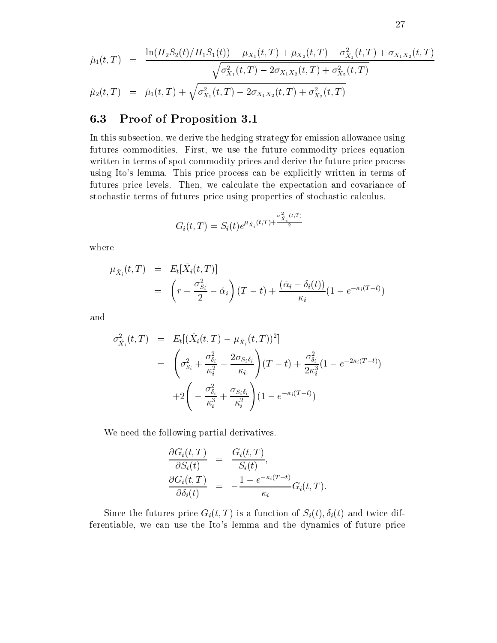$$
\hat{\mu}_1(t,T) = \frac{\ln(H_2 S_2(t)/H_1 S_1(t)) - \mu_{X_1}(t,T) + \mu_{X_2}(t,T) - \sigma_{X_1}^2(t,T) + \sigma_{X_1 X_2}(t,T)}{\sqrt{\sigma_{X_1}^2(t,T) - 2\sigma_{X_1 X_2}(t,T) + \sigma_{X_2}^2(t,T)}}
$$
\n
$$
\hat{\mu}_2(t,T) = \hat{\mu}_1(t,T) + \sqrt{\sigma_{X_1}^2(t,T) - 2\sigma_{X_1 X_2}(t,T) + \sigma_{X_2}^2(t,T)}
$$

#### Proof of Proposition 3.1 6.3

In this subsection, we derive the hedging strategy for emission allowance using futures commodities. First, we use the future commodity prices equation written in terms of spot commodity prices and derive the future price process using Ito's lemma. This price process can be explicitly written in terms of futures price levels. Then, we calculate the expectation and covariance of stochastic terms of futures price using properties of stochastic calculus.

$$
G_i(t,T) = S_i(t)e^{\mu_{\hat{X}_i}(t,T) + \frac{\sigma_{\hat{X}_i}^2(t,T)}{2}}
$$

where

$$
\mu_{\hat{X}_i}(t,T) = E_t[\hat{X}_i(t,T)]
$$
  
= 
$$
\left(r - \frac{\sigma_{S_i}^2}{2} - \hat{\alpha}_i\right)(T-t) + \frac{(\hat{\alpha}_i - \delta_i(t))}{\kappa_i}(1 - e^{-\kappa_i(T-t)})
$$

and

$$
\sigma_{\hat{X}_i}^2(t,T) = E_t[(\hat{X}_i(t,T) - \mu_{\hat{X}_i}(t,T))^2]
$$
\n
$$
= \left(\sigma_{S_i}^2 + \frac{\sigma_{\delta_i}^2}{\kappa_i^2} - \frac{2\sigma_{S_i\delta_i}}{\kappa_i}\right)(T-t) + \frac{\sigma_{\delta_i}^2}{2\kappa_i^3}(1 - e^{-2\kappa_i(T-t)})
$$
\n
$$
+ 2\left(-\frac{\sigma_{\delta_i}^2}{\kappa_i^3} + \frac{\sigma_{S_i\delta_i}}{\kappa_i^2}\right)(1 - e^{-\kappa_i(T-t)})
$$

We need the following partial derivatives.

$$
\frac{\partial G_i(t,T)}{\partial S_i(t)} = \frac{G_i(t,T)}{S_i(t)},
$$
  
\n
$$
\frac{\partial G_i(t,T)}{\partial \delta_i(t)} = -\frac{1 - e^{-\kappa_i(T-t)}}{\kappa_i} G_i(t,T).
$$

Since the futures price  $G_i(t, T)$  is a function of  $S_i(t), \delta_i(t)$  and twice differentiable, we can use the Ito's lemma and the dynamics of future price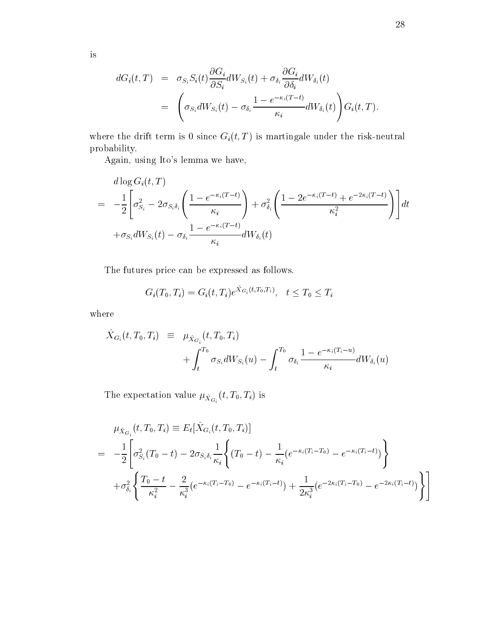$$
dG_i(t,T) = \sigma_{S_i} S_i(t) \frac{\partial G_i}{\partial S_i} dW_{S_i}(t) + \sigma_{\delta_i} \frac{\partial G_i}{\partial \delta_i} dW_{\delta_i}(t)
$$
  
= 
$$
\left( \sigma_{S_i} dW_{S_i}(t) - \sigma_{\delta_i} \frac{1 - e^{-\kappa_i(T-t)}}{\kappa_i} dW_{\delta_i}(t) \right) G_i(t,T).
$$

where the drift term is 0 since  $G_i(t,T)$  is martingale under the risk-neutral probability.

Again, using Ito's lemma we have,

$$
d \log G_i(t, T)
$$
  
= 
$$
-\frac{1}{2} \left[ \sigma_{S_i}^2 - 2\sigma_{S_i \delta_i} \left( \frac{1 - e^{-\kappa_i (T-t)}}{\kappa_i} \right) + \sigma_{\delta_i}^2 \left( \frac{1 - 2e^{-\kappa_i (T-t)} + e^{-2\kappa_i (T-t)}}{\kappa_i^2} \right) \right] dt
$$
  
+ 
$$
\sigma_{S_i} dW_{S_i}(t) - \sigma_{\delta_i} \frac{1 - e^{-\kappa_i (T-t)}}{\kappa_i} dW_{\delta_i}(t)
$$

The futures price can be expressed as follows.

$$
G_i(T_0, T_i) = G_i(t, T_i) e^{\dot{X}_{G_i}(t, T_0, T_i)}, \quad t \leq T_0 \leq T_i
$$

 $% \left\vert \mathcal{L}_{\mathcal{A}}\right\vert$  where

$$
\hat{X}_{G_i}(t, T_0, T_i) \equiv \mu_{\hat{X}_{G_i}}(t, T_0, T_i) \n+ \int_t^{T_0} \sigma_{S_i} dW_{S_i}(u) - \int_t^{T_0} \sigma_{\delta_i} \frac{1 - e^{-\kappa_i (T_i - u)}}{\kappa_i} dW_{\delta_i}(u)
$$

The expectation value  $\mu_{\hat{X}_{G_i}}(t, T_0, T_i)$  is

$$
\mu_{\hat{X}_{G_i}}(t, T_0, T_i) \equiv E_t[\hat{X}_{G_i}(t, T_0, T_i)]
$$
\n
$$
= -\frac{1}{2} \left[ \sigma_{S_i}^2(T_0 - t) - 2\sigma_{S_i \delta_i} \frac{1}{\kappa_i} \left\{ (T_0 - t) - \frac{1}{\kappa_i} (e^{-\kappa_i (T_i - T_0)} - e^{-\kappa_i (T_i - t)}) \right\} + \sigma_{\delta_i}^2 \left\{ \frac{T_0 - t}{\kappa_i^2} - \frac{2}{\kappa_i^3} (e^{-\kappa_i (T_i - T_0)} - e^{-\kappa_i (T_i - t)}) + \frac{1}{2\kappa_i^3} (e^{-2\kappa_i (T_i - T_0)} - e^{-2\kappa_i (T_i - t)}) \right\}.
$$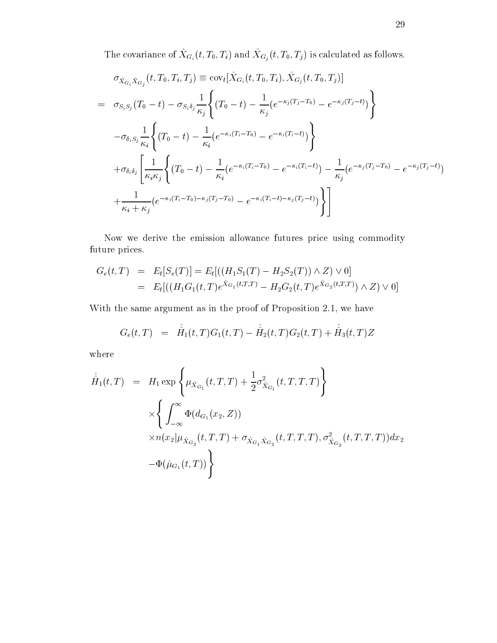The covariance of  $\hat{X}_{G_i}(t, T_0, T_i)$  and  $\hat{X}_{G_j}(t, T_0, T_j)$  is calculated as follows.

$$
\sigma_{\hat{X}_{G_i}\hat{X}_{G_j}}(t, T_0, T_i, T_j) \equiv \text{cov}_{t}[\hat{X}_{G_i}(t, T_0, T_i), \hat{X}_{G_j}(t, T_0, T_j)]
$$
\n
$$
= \sigma_{S_i S_j}(T_0 - t) - \sigma_{S_i \delta_j} \frac{1}{\kappa_j} \left\{ (T_0 - t) - \frac{1}{\kappa_j} (e^{-\kappa_j (T_j - T_0)} - e^{-\kappa_j (T_j - t)}) \right\}
$$
\n
$$
- \sigma_{\delta_i S_j} \frac{1}{\kappa_i} \left\{ (T_0 - t) - \frac{1}{\kappa_i} (e^{-\kappa_i (T_i - T_0)} - e^{-\kappa_i (T_i - t)}) \right\}
$$
\n
$$
+ \sigma_{\delta_i \delta_j} \left[ \frac{1}{\kappa_i \kappa_j} \left\{ (T_0 - t) - \frac{1}{\kappa_i} (e^{-\kappa_i (T_i - T_0)} - e^{-\kappa_i (T_i - t)}) - \frac{1}{\kappa_j} (e^{-\kappa_j (T_j - T_0)} - e^{-\kappa_j (T_j - t)}) \right\}
$$
\n
$$
+ \frac{1}{\kappa_i + \kappa_j} (e^{-\kappa_i (T_i - T_0) - \kappa_j (T_j - T_0)} - e^{-\kappa_i (T_i - t) - \kappa_j (T_j - t)}) \right\}
$$

Now we derive the emission allowance futures price using commodity future prices.

$$
G_e(t,T) = E_t[S_e(T)] = E_t[((H_1S_1(T) - H_2S_2(T)) \wedge Z) \vee 0]
$$
  
= 
$$
E_t[((H_1G_1(t,T)e^{\hat{X}_{G_1}(t,T,T)} - H_2G_2(t,T)e^{\hat{X}_{G_2}(t,T,T)}) \wedge Z) \vee 0]
$$

With the same argument as in the proof of Proposition 2.1, we have

$$
G_e(t,T) = \hat{\hat{H}}_1(t,T)G_1(t,T) - \hat{\hat{H}}_2(t,T)G_2(t,T) + \hat{\hat{H}}_3(t,T)Z
$$

 $% \left\vert \mathcal{L}_{\mathcal{A}}\right\vert$  where

$$
\hat{H}_1(t,T) = H_1 \exp \left\{ \mu_{\hat{X}_{G_1}}(t,T,T) + \frac{1}{2} \sigma_{\hat{X}_{G_1}}^2(t,T,T,T) \right\} \times \left\{ \int_{-\infty}^{\infty} \Phi(d_{G_1}(x_2, Z)) \times n(x_2 | \mu_{\hat{X}_{G_2}}(t,T,T) + \sigma_{\hat{X}_{G_1}\hat{X}_{G_2}}(t,T,T,T), \sigma_{\hat{X}_{G_2}}^2(t,T,T,T)) dx_2 - \Phi(\hat{\mu}_{G_1}(t,T)) \right\}
$$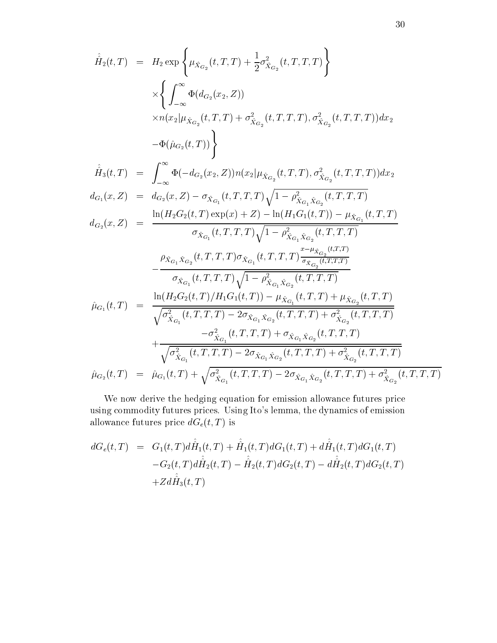$$
\hat{H}_{2}(t,T) = H_{2} \exp \left\{ \mu_{\hat{X}_{G_{2}}}(t,T,T) + \frac{1}{2} \sigma_{\hat{X}_{G_{2}}}^{2}(t,T,T,T) \right\} \times \left\{ \int_{-\infty}^{\infty} \Phi(d_{G_{2}}(x_{2},Z)) \times n(x_{2}|\mu_{\hat{X}_{G_{2}}}(t,T,T) + \sigma_{\hat{X}_{G_{2}}}^{2}(t,T,T,T), \sigma_{\hat{X}_{G_{2}}}^{2}(t,T,T,T)) dx_{2} \n- \Phi(\hat{\mu}_{G_{2}}(t,T)) \right\}
$$
\n
$$
\hat{H}_{3}(t,T) = \int_{-\infty}^{\infty} \Phi(-d_{G_{2}}(x_{2},Z)) n(x_{2}|\mu_{\hat{X}_{G_{2}}}(t,T,T), \sigma_{\hat{X}_{G_{2}}}^{2}(t,T,T,T)) dx_{2} \nd_{G_{1}}(x,Z) = d_{G_{2}}(x,Z) - \sigma_{\hat{X}_{G_{1}}}(t,T,T,T) \sqrt{1 - \rho_{\hat{X}_{G_{1}},\hat{X}_{G_{2}}}^{2}(t,T,T,T)} \nd_{G_{2}}(x,Z) = \frac{\ln(H_{2}G_{2}(t,T) \exp(x) + Z) - \ln(H_{1}G_{1}(t,T)) - \mu_{\hat{X}_{G_{1}}}(t,T,T)}{\sigma_{\hat{X}_{G_{1}}}(t,T,T,T)} \sqrt{1 - \rho_{\hat{X}_{G_{1}},\hat{X}_{G_{2}}}(t,T,T,T)} \n- \frac{\rho_{\hat{X}_{G_{1}},\hat{X}_{G_{2}}}(t,T,T,T) \sqrt{1 - \rho_{\hat{X}_{G_{1}},\hat{X}_{G_{2}}}(t,T,T,T)}}{\sigma_{\hat{X}_{G_{1}}}(t,T,T,T) \sqrt{1 - \rho_{\hat{X}_{G_{1}},\hat{X}_{G_{2}}}(t,T,T,T)} + \sqrt{\sigma_{\hat{X}_{G_{1}}}(t,T,T,T)} \sqrt{1 - \rho_{\hat{X}_{G_{1}},\hat{X}_{G_{2}}}(t,T,T,T)} + \rho_{\hat{X}_{G_{2}}}(t,T,T,T)} + \rho_{\hat{X}_{G_{2}}}(t,T,T,T) + \sigma_{\hat{X}_{G_{2}}}(t,T,T,T)} + \frac{\sigma_{\hat{X}_{G_{1}}}(t,T,T,T) - 2\sigma_{\hat{X}_{G_{1}},\hat{X}_{G_{2}}
$$

We now derive the hedging equation for emission allowance futures price using commodity futures prices. Using Ito's lemma, the dynamics of emission allowance futures price  $dG_e(t,T)$  is

$$
dG_e(t,T) = G_1(t,T)d\hat{H}_1(t,T) + \hat{H}_1(t,T)dG_1(t,T) + d\hat{H}_1(t,T)dG_1(t,T)
$$
  

$$
-G_2(t,T)d\hat{H}_2(t,T) - \hat{H}_2(t,T)dG_2(t,T) - d\hat{H}_2(t,T)dG_2(t,T)
$$
  

$$
+ Zd\hat{H}_3(t,T)
$$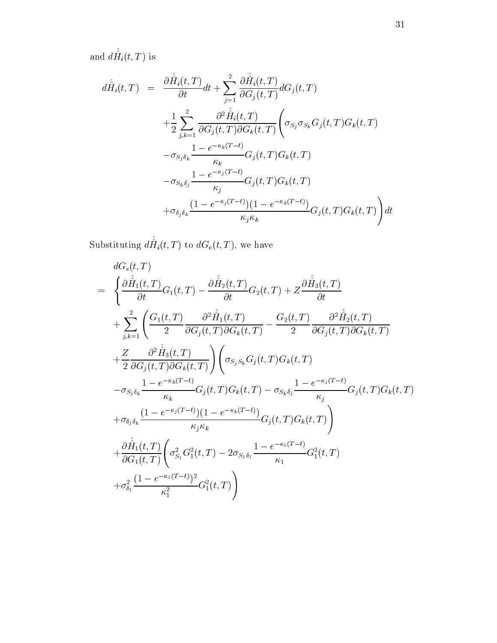and  $d\hat{\hat{H}}_i(t,T)$  is

$$
d\hat{H}_i(t,T) = \frac{\partial \hat{H}_i(t,T)}{\partial t} dt + \sum_{j=1}^2 \frac{\partial \hat{H}_i(t,T)}{\partial G_j(t,T)} dG_j(t,T)
$$
  
+ 
$$
\frac{1}{2} \sum_{j,k=1}^2 \frac{\partial^2 \hat{H}_i(t,T)}{\partial G_j(t,T) \partial G_k(t,T)} \left( \sigma_{S_j} \sigma_{S_k} G_j(t,T) G_k(t,T) - \sigma_{S_j \delta_k} \frac{1 - e^{-\kappa_k(T-t)}}{\kappa_k} G_j(t,T) G_k(t,T) - \sigma_{S_k \delta_j} \frac{1 - e^{-\kappa_j(T-t)}}{\kappa_j} G_j(t,T) G_k(t,T)
$$
  
+ 
$$
\sigma_{\delta_j \delta_k} \frac{(1 - e^{-\kappa_j(T-t)}) (1 - e^{-\kappa_k(T-t)})}{\kappa_j \kappa_k} G_j(t,T) G_k(t,T) G_k(t,T) \right) dt
$$

Substituting  $d\hat{\hat{H}}_i(t,T)$  to  $dG_e(t,T),$  we have

$$
= \begin{cases} \frac{\partial \hat{H}_1(t,T)}{\partial t} G_1(t,T) - \frac{\partial \hat{H}_2(t,T)}{\partial t} G_2(t,T) + Z \frac{\partial \hat{H}_3(t,T)}{\partial t} \\ + \sum_{j,k=1}^2 \left( \frac{G_1(t,T)}{2} \frac{\partial^2 \hat{H}_1(t,T)}{\partial G_j(t,T) \partial G_k(t,T)} - \frac{G_2(t,T)}{2} \frac{\partial^2 \hat{H}_2(t,T)}{\partial G_j(t,T) \partial G_k(t,T)} \right. \\ + \frac{Z}{2} \frac{\partial^2 \hat{H}_3(t,T)}{\partial G_j(t,T) \partial G_k(t,T)} \bigg) \bigg( \sigma_{S_j S_k} G_j(t,T) G_k(t,T) \\ - \sigma_{S_j \delta_k} \frac{1 - e^{-\kappa_k(T-t)}}{\kappa_k} G_j(t,T) G_k(t,T) - \sigma_{S_k \delta_j} \frac{1 - e^{-\kappa_j(T-t)}}{\kappa_j} G_j(t,T) G_k(t,T) \\ + \sigma_{\delta_j \delta_k} \frac{(1 - e^{-\kappa_j(T-t)}) (1 - e^{-\kappa_k(T-t)})}{\kappa_j \kappa_k} G_j(t,T) G_k(t,T) \bigg) \\ + \frac{\partial \hat{H}_1(t,T)}{\partial G_1(t,T)} \bigg( \sigma_{S_1}^2 G_1^2(t,T) - 2 \sigma_{S_1 \delta_1} \frac{1 - e^{-\kappa_1(T-t)}}{\kappa_1} G_1^2(t,T) \\ + \sigma_{\delta_1}^2 \frac{(1 - e^{-\kappa_1(T-t)})^2}{\kappa_1^2} G_1^2(t,T) \bigg) \end{cases}
$$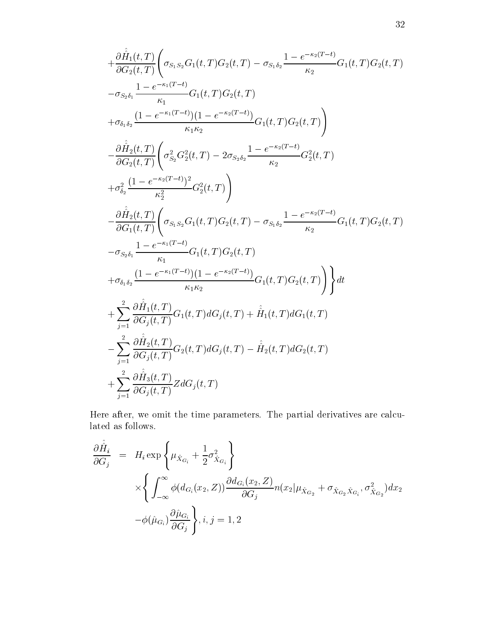$$
+\frac{\partial \hat{H}_1(t,T)}{\partial G_2(t,T)} \bigg( \sigma_{S_1S_2}G_1(t,T)G_2(t,T) - \sigma_{S_1\delta_2} \frac{1 - e^{-\kappa_2(T-t)}}{\kappa_2} G_1(t,T)G_2(t,T) \bigg)
$$
  
\n
$$
- \sigma_{S_2\delta_1} \frac{1 - e^{-\kappa_1(T-t)}}{\kappa_1} G_1(t,T)G_2(t,T)
$$
  
\n
$$
+ \sigma_{\delta_1\delta_2} \frac{(1 - e^{-\kappa_1(T-t)}) (1 - e^{-\kappa_2(T-t)})}{\kappa_1 \kappa_2} G_1(t,T)G_2(t,T) \bigg)
$$
  
\n
$$
- \frac{\partial \hat{H}_2(t,T)}{\partial G_2(t,T)} \bigg( \sigma_{S_2}^2 G_2^2(t,T) - 2 \sigma_{S_2\delta_2} \frac{1 - e^{-\kappa_2(T-t)}}{\kappa_2} G_2^2(t,T)
$$
  
\n
$$
+ \sigma_{\delta_2}^2 \frac{(1 - e^{-\kappa_2(T-t)})^2}{\kappa_2^2} G_2^2(t,T) \bigg)
$$
  
\n
$$
- \frac{\partial \hat{H}_2(t,T)}{\partial G_1(t,T)} \bigg( \sigma_{S_1S_2}G_1(t,T)G_2(t,T) - \sigma_{S_1\delta_2} \frac{1 - e^{-\kappa_2(T-t)}}{\kappa_2} G_1(t,T)G_2(t,T)
$$
  
\n
$$
- \sigma_{S_2\delta_1} \frac{1 - e^{-\kappa_1(T-t)}}{\kappa_1} G_1(t,T)G_2(t,T)
$$
  
\n
$$
+ \sigma_{\delta_1\delta_2} \frac{(1 - e^{-\kappa_1(T-t)}) (1 - e^{-\kappa_2(T-t)})}{\kappa_1 \kappa_2} G_1(t,T)G_2(t,T) \bigg) \bigg\} dt
$$
  
\n
$$
+ \sum_{j=1}^2 \frac{\partial \hat{H}_1(t,T)}{\partial G_j(t,T)} G_1(t,T) dG_j(t,T) + \hat{H}_1(t,T) dG_1(t,T)
$$
  
\n
$$
- \sum_{j=1}^2 \frac{\partial \hat{H}_2(t,T)}{\partial G_j(t,T)} G_2(t,T) dG_j(t,T)
$$

Here after, we omit the time parameters. The partial derivatives are calcu- $\!$  lated as follows.

$$
\frac{\partial \hat{H}_i}{\partial G_j} = H_i \exp\left\{\mu_{\hat{X}_{G_i}} + \frac{1}{2}\sigma_{\hat{X}_{G_i}}^2\right\}
$$
\n
$$
\times \left\{\int_{-\infty}^{\infty} \phi(d_{G_i}(x_2, Z)) \frac{\partial d_{G_i}(x_2, Z)}{\partial G_j} n(x_2 | \mu_{\hat{X}_{G_2}} + \sigma_{\hat{X}_{G_2}\hat{X}_{G_i}}, \sigma_{\hat{X}_{G_2}}^2) dx_2
$$
\n
$$
-\phi(\hat{\mu}_{G_i}) \frac{\partial \hat{\mu}_{G_i}}{\partial G_j}\right\}, i, j = 1, 2
$$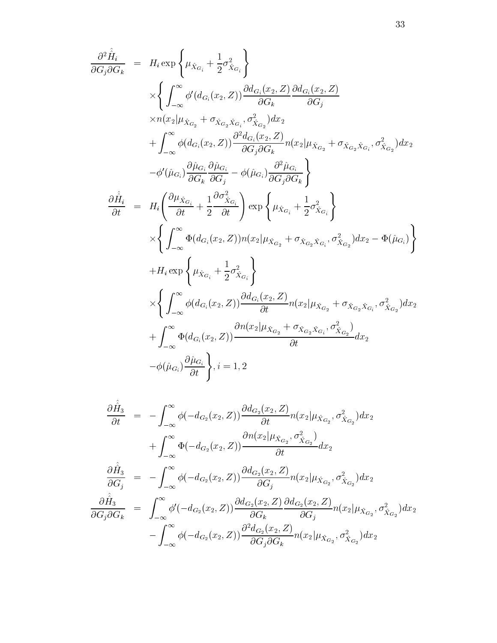$$
\frac{\partial^2 \hat{H}_i}{\partial G_j \partial G_k} = H_i \exp \left\{ \mu_{\hat{X}_{G_i}} + \frac{1}{2} \sigma_{\hat{X}_{G_i}}^2 \right\} \times \left\{ \int_{-\infty}^{\infty} \phi'(d_{G_i}(x_2, Z)) \frac{\partial d_{G_i}(x_2, Z)}{\partial G_k} \frac{\partial d_{G_i}(x_2, Z)}{\partial G_j} \times n(x_2 | \mu_{\hat{X}_{G_2}} + \sigma_{\hat{X}_{G_2} \hat{X}_{G_i}}, \sigma_{\hat{X}_{G_2}}^2) dx_2 \n+ \int_{-\infty}^{\infty} \phi(d_{G_i}(x_2, Z)) \frac{\partial^2 d_{G_i}(x_2, Z)}{\partial G_j \partial G_k} n(x_2 | \mu_{\hat{X}_{G_2}} + \sigma_{\hat{X}_{G_2} \hat{X}_{G_i}}, \sigma_{\hat{X}_{G_2}}^2) dx_2 \n- \phi'(\hat{\mu}_{G_i}) \frac{\partial \hat{\mu}_{G_i}}{\partial G_k} \frac{\partial \hat{\mu}_{G_i}}{\partial G_j} - \phi(\hat{\mu}_{G_i}) \frac{\partial^2 \hat{\mu}_{G_i}}{\partial G_j \partial G_k} \right\} \n\frac{\partial \hat{H}_i}{\partial t} = H_i \left( \frac{\partial \mu_{\hat{X}_{G_i}}}{\partial t} + \frac{1}{2} \frac{\partial \sigma_{\hat{X}_{G_i}}^2}{\partial t} \right) \exp \left\{ \mu_{\hat{X}_{G_i}} + \frac{1}{2} \sigma_{\hat{X}_{G_i}}^2 \right\} \times \left\{ \int_{-\infty}^{\infty} \Phi(d_{G_i}(x_2, Z)) n(x_2 | \mu_{\hat{X}_{G_2}} + \sigma_{\hat{X}_{G_2} \hat{X}_{G_i}}, \sigma_{\hat{X}_{G_2}}^2) dx_2 - \Phi(\hat{\mu}_{G_i}) \right\} \n+ H_i \exp \left\{ \mu_{\hat{X}_{G_i}} + \frac{1}{2} \sigma_{\hat{X}_{G_i}}^2 \right\} \n\times \left\{ \int_{-\infty}^{\infty} \phi(d_{G_i}(x_2, Z)) \frac{\partial d_{G_i}(x_2, Z)}{\partial t} n(x_2 | \mu_{\hat{X}_{G_2}} + \sigma_{\hat{X}_{G_2} \hat
$$

$$
\frac{\partial \hat{H}_3}{\partial t} = -\int_{-\infty}^{\infty} \phi(-d_{G_2}(x_2, Z)) \frac{\partial d_{G_2}(x_2, Z)}{\partial t} n(x_2 | \mu_{\hat{X}_{G_2}}, \sigma_{\hat{X}_{G_2}}^2) dx_2 \n+ \int_{-\infty}^{\infty} \Phi(-d_{G_2}(x_2, Z)) \frac{\partial n(x_2 | \mu_{\hat{X}_{G_2}}, \sigma_{\hat{X}_{G_2}}^2)}{\partial t} dx_2 \n\frac{\partial \hat{H}_3}{\partial G_j} = -\int_{-\infty}^{\infty} \phi(-d_{G_2}(x_2, Z)) \frac{\partial d_{G_2}(x_2, Z)}{\partial G_j} n(x_2 | \mu_{\hat{X}_{G_2}}, \sigma_{\hat{X}_{G_2}}^2) dx_2 \n\frac{\partial \hat{H}_3}{\partial G_j \partial G_k} = \int_{-\infty}^{\infty} \phi'(-d_{G_2}(x_2, Z)) \frac{\partial d_{G_2}(x_2, Z)}{\partial G_k} \frac{\partial d_{G_2}(x_2, Z)}{\partial G_j} n(x_2 | \mu_{\hat{X}_{G_2}}, \sigma_{\hat{X}_{G_2}}^2) dx_2 \n- \int_{-\infty}^{\infty} \phi(-d_{G_2}(x_2, Z)) \frac{\partial^2 d_{G_2}(x_2, Z)}{\partial G_j \partial G_k} n(x_2 | \mu_{\hat{X}_{G_2}}, \sigma_{\hat{X}_{G_2}}^2) dx_2
$$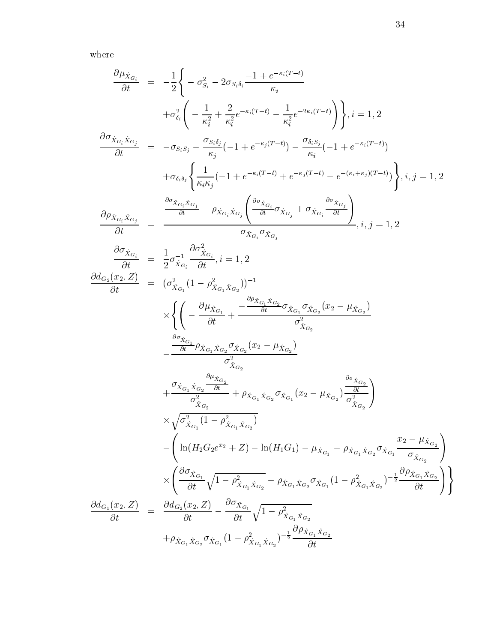$% \left\vert \mathcal{L}_{\mathcal{A}}\right\vert$  where

$$
\begin{array}{rcl} \frac{\partial \mu_{\hat{X}_{G_{i}}}}{\partial t} &=& -\frac{1}{2} \Bigg\{ -\sigma_{S_{i}}^{2} - 2\sigma_{S_{i}\delta_{i}} \frac{-1 + e^{-\kappa_{i}(T-t)}}{\kappa_{i}} \\ & & +\sigma_{\delta_{i}}^{2} \Bigg( -\frac{1}{\kappa_{i}^{2}} + \frac{2}{\kappa_{i}^{2}} e^{-\kappa_{i}(T-t)} - \frac{1}{\kappa_{i}^{2}} e^{-2\kappa_{i}(T-t)} \Bigg) \Bigg\} , i=1,2 \\ \frac{\partial \sigma_{\hat{X}_{G_{i}}\hat{X}_{G_{j}}}}{\partial t} &=& -\sigma_{S_{i}S_{j}} - \frac{\sigma_{S_{i}\delta_{j}}}{\kappa_{j}} (-1 + e^{-\kappa_{j}(T-t)}) - \frac{\sigma_{\delta_{i}S_{j}}}{\kappa_{i}} (-1 + e^{-\kappa_{i}(T-t)}) \\ & & +\sigma_{\delta_{i}\delta_{j}} \Bigg\{ \frac{1}{\kappa_{i}\kappa_{j}} (-1 + e^{-\kappa_{i}(T-t)} + e^{-\kappa_{j}(T-t)} - e^{-(\kappa_{i}+\kappa_{i})(T-t)}) \Bigg\} , i,j=1,2 \\ \frac{\partial \rho_{\hat{X}_{G_{i}}\hat{X}_{G_{j}}}}{\partial t} &=& \frac{\frac{\partial \sigma_{\hat{X}_{G_{i}}\hat{X}_{G_{j}}}}{\partial t} - \rho_{\hat{X}_{G_{i}}\hat{X}_{G_{j}}}}{\sigma_{\hat{X}_{G_{i}}}\sigma_{\hat{X}_{G_{j}}}} \\ &=& \frac{\partial \sigma_{\hat{X}_{G_{i}}}}{\partial t} \\ &=& \frac{\partial \sigma_{\hat{X}_{G_{i}}}}{\partial t} \\ &=& \frac{\sigma_{\hat{X}_{G_{i}}}}{\partial t} (1 - \rho_{\hat{X}_{G_{i}}\hat{X}_{G_{j}}})^{-1} \\ & \times \Bigg\{ \Bigg( -\frac{\partial \mu_{\hat{X}_{G_{i}}}}{\partial t} + \frac{-\frac{\partial \rho_{\hat{X}_{G_{i}}\hat{X}_{G_{2}}}{\partial t} \sigma_{\hat{X}_{G_{2}}}(x_{2} - \mu_{\hat{X}_{G_{2}}})}{\sigma_{\hat{X}_{G_{2}}}^{2}} \\ & & -\frac{\frac{\partial \sigma_{\hat{X}_{G_{i}}}}{\partial t} \rho_{
$$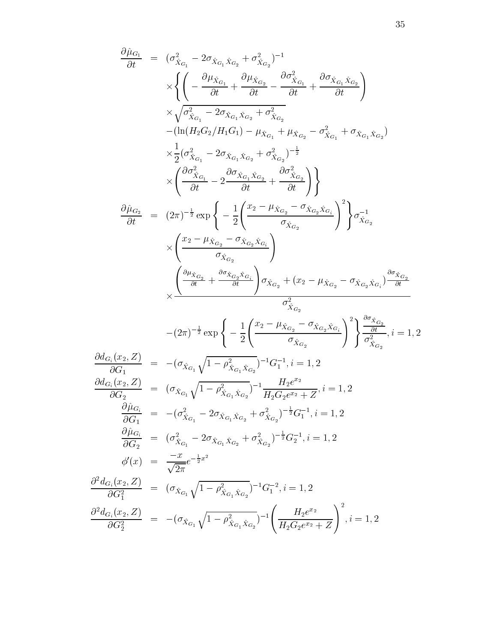$$
\frac{\partial \hat{\mu}_{G_1}}{\partial t} = (\sigma_{X_{G_1}}^2 - 2\sigma_{\hat{X}_{G_1}\hat{X}_{G_2}} + \sigma_{X_{G_2}}^2)^{-1} \times \left\{ \left( -\frac{\partial \mu_{X_{G_1}}}{\partial t} + \frac{\partial \mu_{X_{G_2}}}{\partial t} - \frac{\partial \sigma_{X_{G_1}}^2}{\partial t} + \frac{\partial \sigma_{X_{G_1}\hat{X}_{G_2}}}{\partial t} \right) \right. \times \sqrt{\sigma_{X_{G_1}}^2 - 2\sigma_{X_{G_1}\hat{X}_{G_2}} + \sigma_{X_{G_2}}^2} \n- (\ln(H_2 G_2/H_1G_1) - \mu_{X_{G_1}} + \mu_{X_{G_2}} - \sigma_{X_{G_1}}^2 + \sigma_{X_{G_1}\hat{X}_{G_2}}) \right\} \times \frac{1}{2} (\sigma_{X_{G_1}}^2 - 2\sigma_{X_{G_1}\hat{X}_{G_2}} + \sigma_{X_{G_2}}^2)^{-\frac{1}{2}} \times \left( \frac{\partial \sigma_{X_{G_1}}^2}{\partial t} - 2 \frac{\partial \sigma_{X_{G_1}\hat{X}_{G_2}}}{\partial t} + \frac{\partial \sigma_{X_{G_2}}^2}{\partial t} \right) \right\} \times \left\{ \frac{\sigma_{X_{G_2}}}{2t} = (2\pi)^{-\frac{1}{2}} \exp \left\{ -\frac{1}{2} \left( \frac{x_2 - \mu_{X_{G_2}} - \sigma_{X_{G_2}\hat{X}_{G_1}}}{\sigma_{X_{G_2}}} \right)^2 \right\} \sigma_{X_{G_2}}^{-1} \times \left( \frac{x_2 - \mu_{X_{G_2}} - \sigma_{X_{G_2}\hat{X}_{G_1}}}{\sigma_{X_{G_2}}} \right) \n- (2\pi)^{-\frac{1}{2}} \exp \left\{ -\frac{1}{2} \left( \frac{x_2 - \mu_{X_{G_2}} - \sigma_{X_{G_2}\hat{X}_{G_1}}}{\sigma_{X_{G_2}}} \right)^2 \right\} \frac{\partial \sigma_{X_{G_2}}}{\partial_{X_{G_2}}} \n- (2\pi)^{-\frac{1}{2}} \exp \left\{ -\frac{1}{2} \left( \frac{x
$$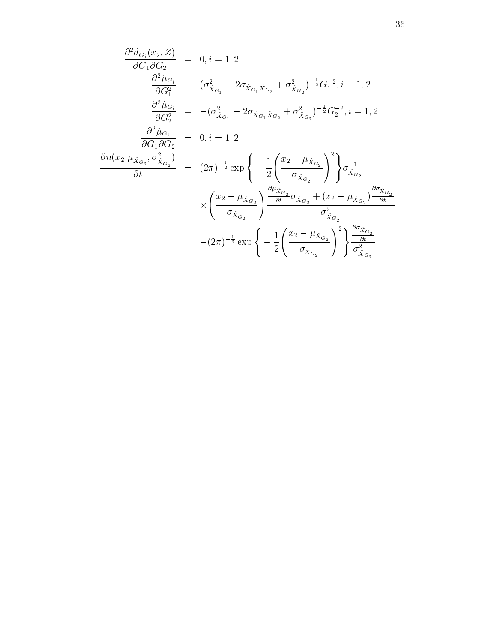$$
\frac{\partial^2 d_{G_i}(x_2, Z)}{\partial G_1 \partial G_2} = 0, i = 1, 2
$$
\n
$$
\frac{\partial^2 \hat{\mu}_{G_i}}{\partial G_1^2} = (\sigma_{\hat{X}_{G_1}}^2 - 2\sigma_{\hat{X}_{G_1}\hat{X}_{G_2}} + \sigma_{\hat{X}_{G_2}}^2)^{-\frac{1}{2}} G_1^{-2}, i = 1, 2
$$
\n
$$
\frac{\partial^2 \hat{\mu}_{G_i}}{\partial G_2^2} = -(\sigma_{\hat{X}_{G_1}}^2 - 2\sigma_{\hat{X}_{G_1}\hat{X}_{G_2}} + \sigma_{\hat{X}_{G_2}}^2)^{-\frac{1}{2}} G_2^{-2}, i = 1, 2
$$
\n
$$
\frac{\partial^2 \hat{\mu}_{G_i}}{\partial G_1 \partial G_2} = 0, i = 1, 2
$$
\n
$$
\frac{\partial n(x_2 | \mu_{\hat{X}_{G_2}}, \sigma_{\hat{X}_{G_2}}^2)}{\partial t} = (2\pi)^{-\frac{1}{2}} \exp\left\{-\frac{1}{2} \left(\frac{x_2 - \mu_{\hat{X}_{G_2}}}{\sigma_{\hat{X}_{G_2}}}\right)^2\right\} \sigma_{\hat{X}_{G_2}}^{-1}
$$
\n
$$
\times \left(\frac{x_2 - \mu_{\hat{X}_{G_2}}}{\sigma_{\hat{X}_{G_2}}}\right) \frac{\frac{\partial \mu_{\hat{X}_{G_2}}}{\partial t} \sigma_{\hat{X}_{G_2}} \sigma_{\hat{X}_{G_2}}^2 + (x_2 - \mu_{\hat{X}_{G_2}})^{\frac{\partial \sigma_{\hat{X}_{G_2}}}{\partial t}}}{\sigma_{\hat{X}_{G_2}}^2}
$$
\n
$$
-(2\pi)^{-\frac{1}{2}} \exp\left\{-\frac{1}{2} \left(\frac{x_2 - \mu_{\hat{X}_{G_2}}}{\sigma_{\hat{X}_{G_2}}}\right)^2\right\} \frac{\frac{\partial \sigma_{\hat{X}_{G_2}}}{\partial t}}{\sigma_{\hat{X}_{G_2}}^2}
$$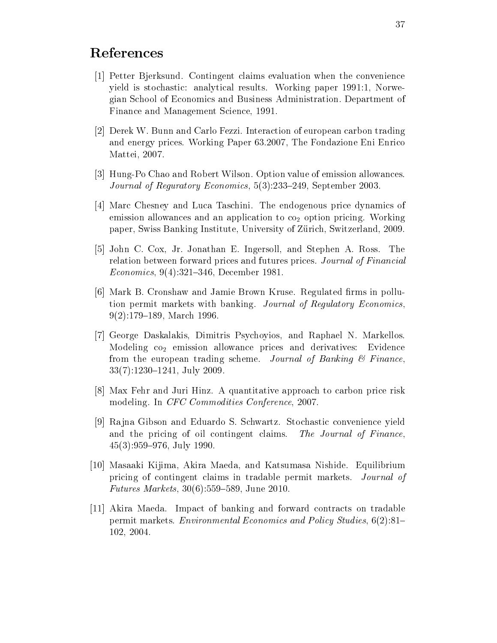# References

- [1] Petter Bjerksund. Contingent claims evaluation when the convenience yield is stochastic: analytical results. Working paper 1991:1, Norwegian School of Economics and Business Administration. Department of Finance and Management Science, 1991.
- [2] Derek W. Bunn and Carlo Fezzi. Interaction of european carbon trading and energy prices. Working Paper 63.2007, The Fondazione Eni Enrico Mattei, 2007.
- [3] Hung-Po Chao and Robert Wilson. Option value of emission allowances. Journal of Reguratory Economics, 5(3):233-249, September 2003.
- [4] Marc Chesney and Luca Taschini. The endogenous price dynamics of emission allowances and an application to  $\cos_2$  option pricing. Working paper, Swiss Banking Institute, University of Zürich, Switzerland, 2009.
- [5] John C. Cox, Jr. Jonathan E. Ingersoll, and Stephen A. Ross. The relation between forward prices and futures prices. Journal of Financial *Economics*, 9(4):321-346, December 1981.
- [6] Mark B. Cronshaw and Jamie Brown Kruse. Regulated firms in pollution permit markets with banking. Journal of Regulatory Economics.  $9(2):179-189$ , March 1996.
- [7] George Daskalakis, Dimitris Psychoyios, and Raphael N. Markellos. Modeling co<sub>2</sub> emission allowance prices and derivatives: Evidence from the european trading scheme. Journal of Banking  $\mathcal B$  Finance,  $33(7):1230-1241$ , July 2009.
- [8] Max Fehr and Juri Hinz. A quantitative approach to carbon price risk modeling. In CFC Commodities Conference, 2007.
- [9] Rajna Gibson and Eduardo S. Schwartz. Stochastic convenience yield and the pricing of oil contingent claims. The Journal of Finance.  $45(3):959-976$ , July 1990.
- [10] Masaaki Kijima, Akira Maeda, and Katsumasa Nishide. Equilibrium pricing of contingent claims in tradable permit markets. Journal of *Futures Markets*,  $30(6):559-589$ , June 2010.
- [11] Akira Maeda. Impact of banking and forward contracts on tradable permit markets. *Environmental Economics and Policy Studies*, 6(2):81– 102, 2004.